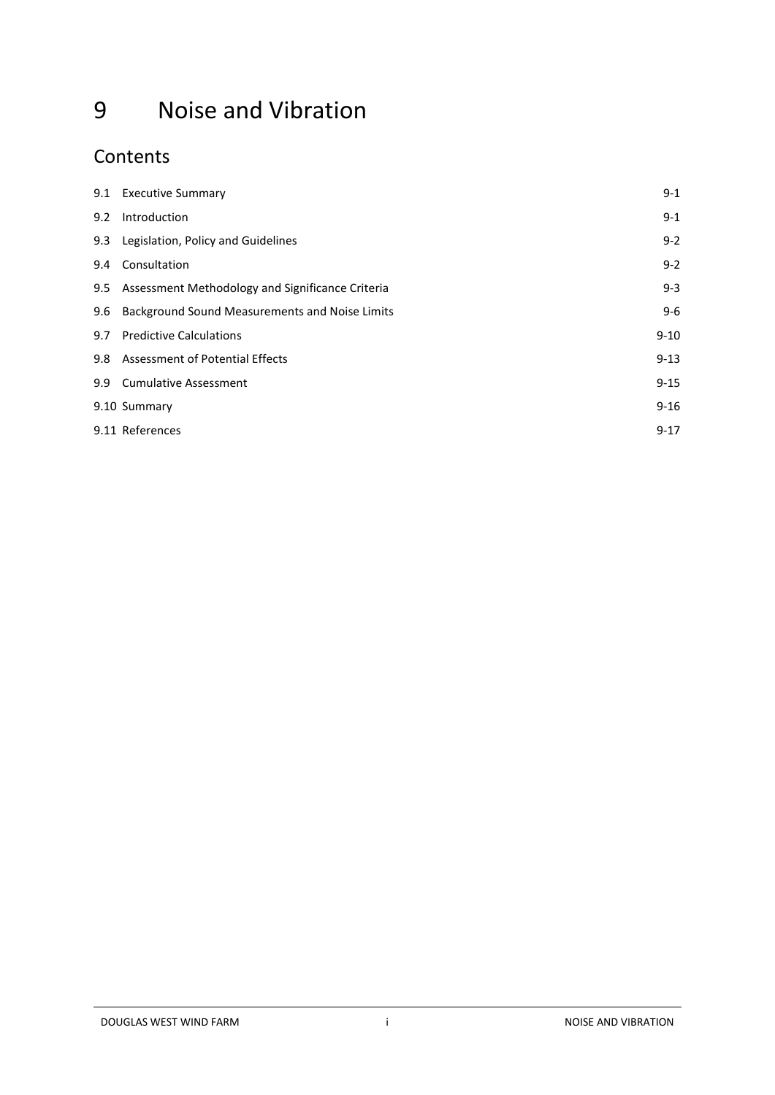# 9 Noise and Vibration

# **Contents**

|     | 9.1 Executive Summary                                | $9 - 1$  |
|-----|------------------------------------------------------|----------|
| 9.2 | Introduction                                         | $9 - 1$  |
| 9.3 | Legislation, Policy and Guidelines                   | $9 - 2$  |
| 9.4 | Consultation                                         | $9 - 2$  |
|     | 9.5 Assessment Methodology and Significance Criteria | $9 - 3$  |
| 9.6 | Background Sound Measurements and Noise Limits       | $9 - 6$  |
| 9.7 | <b>Predictive Calculations</b>                       | $9 - 10$ |
|     | 9.8 Assessment of Potential Effects                  | $9 - 13$ |
| 9.9 | <b>Cumulative Assessment</b>                         | $9 - 15$ |
|     | 9.10 Summary                                         | $9 - 16$ |
|     | 9.11 References                                      | $9 - 17$ |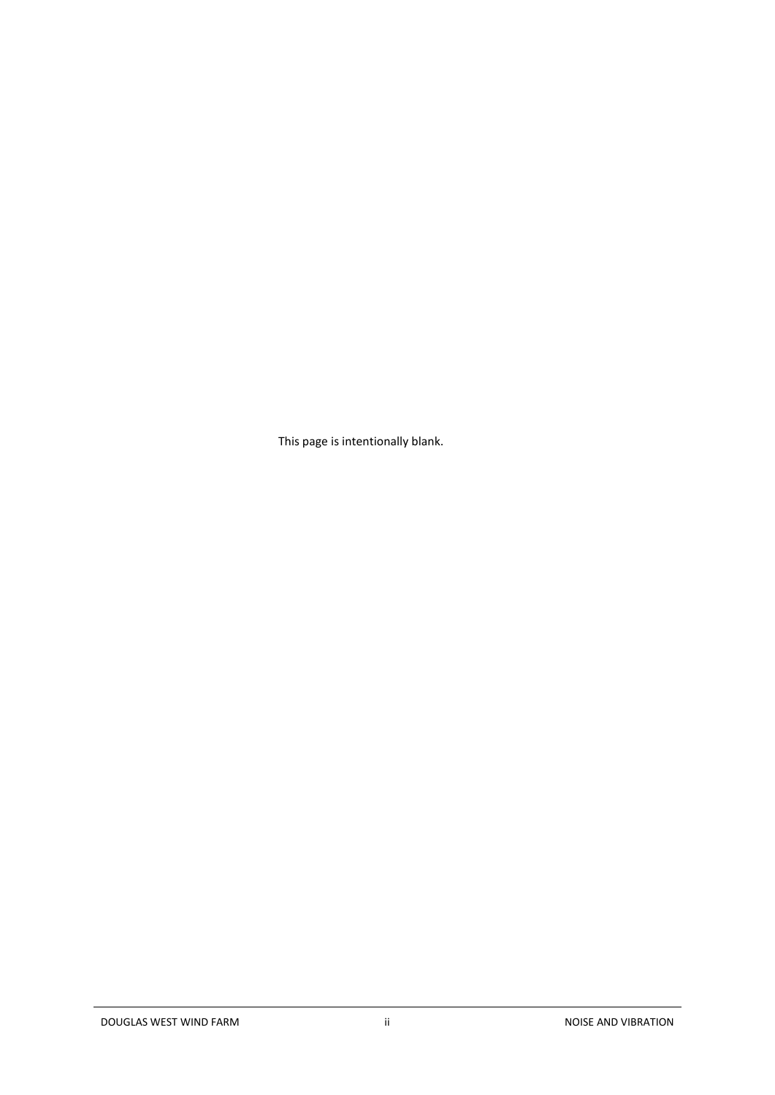This page is intentionally blank.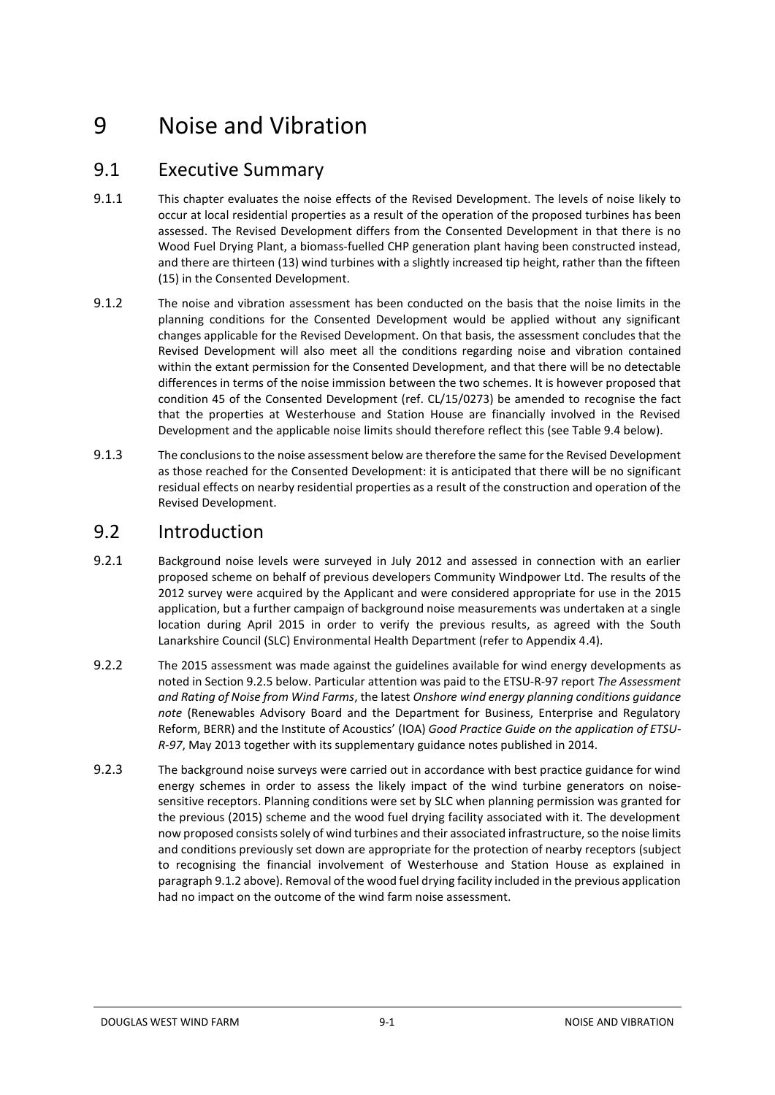# 9 Noise and Vibration

# <span id="page-2-0"></span>9.1 Executive Summary

- 9.1.1 This chapter evaluates the noise effects of the Revised Development. The levels of noise likely to occur at local residential properties as a result of the operation of the proposed turbines has been assessed. The Revised Development differs from the Consented Development in that there is no Wood Fuel Drying Plant, a biomass-fuelled CHP generation plant having been constructed instead, and there are thirteen (13) wind turbines with a slightly increased tip height, rather than the fifteen (15) in the Consented Development.
- 9.1.2 The noise and vibration assessment has been conducted on the basis that the noise limits in the planning conditions for the Consented Development would be applied without any significant changes applicable for the Revised Development. On that basis, the assessment concludes that the Revised Development will also meet all the conditions regarding noise and vibration contained within the extant permission for the Consented Development, and that there will be no detectable differences in terms of the noise immission between the two schemes. It is however proposed that condition 45 of the Consented Development (ref. CL/15/0273) be amended to recognise the fact that the properties at Westerhouse and Station House are financially involved in the Revised Development and the applicable noise limits should therefore reflect this (see Table 9.4 below).
- 9.1.3 The conclusions to the noise assessment below are therefore the same for the Revised Development as those reached for the Consented Development: it is anticipated that there will be no significant residual effects on nearby residential properties as a result of the construction and operation of the Revised Development.

# <span id="page-2-1"></span>9.2 Introduction

- 9.2.1 Background noise levels were surveyed in July 2012 and assessed in connection with an earlier proposed scheme on behalf of previous developers Community Windpower Ltd. The results of the 2012 survey were acquired by the Applicant and were considered appropriate for use in the 2015 application, but a further campaign of background noise measurements was undertaken at a single location during April 2015 in order to verify the previous results, as agreed with the South Lanarkshire Council (SLC) Environmental Health Department (refer to Appendix 4.4).
- 9.2.2 The 2015 assessment was made against the guidelines available for wind energy developments as noted in Section 9.2.5 below. Particular attention was paid to the ETSU-R-97 report *The Assessment and Rating of Noise from Wind Farms*, the latest *Onshore wind energy planning conditions guidance note* (Renewables Advisory Board and the Department for Business, Enterprise and Regulatory Reform, BERR) and the Institute of Acoustics' (IOA) *Good Practice Guide on the application of ETSU-R-97*, May 2013 together with its supplementary guidance notes published in 2014.
- 9.2.3 The background noise surveys were carried out in accordance with best practice guidance for wind energy schemes in order to assess the likely impact of the wind turbine generators on noisesensitive receptors. Planning conditions were set by SLC when planning permission was granted for the previous (2015) scheme and the wood fuel drying facility associated with it. The development now proposed consists solely of wind turbines and their associated infrastructure, so the noise limits and conditions previously set down are appropriate for the protection of nearby receptors (subject to recognising the financial involvement of Westerhouse and Station House as explained in paragraph 9.1.2 above). Removal of the wood fuel drying facility included in the previous application had no impact on the outcome of the wind farm noise assessment.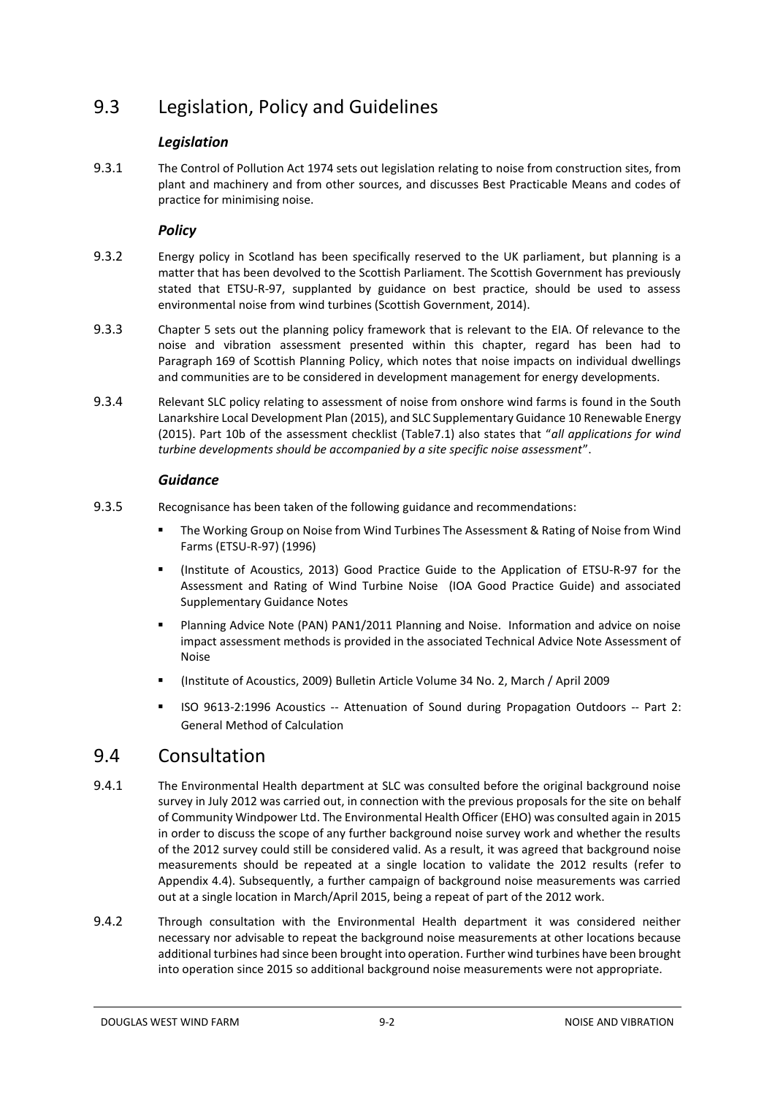# <span id="page-3-0"></span>9.3 Legislation, Policy and Guidelines

### *Legislation*

9.3.1 The Control of Pollution Act 1974 sets out legislation relating to noise from construction sites, from plant and machinery and from other sources, and discusses Best Practicable Means and codes of practice for minimising noise.

### *Policy*

- 9.3.2 Energy policy in Scotland has been specifically reserved to the UK parliament, but planning is a matter that has been devolved to the Scottish Parliament. The Scottish Government has previously stated that ETSU-R-97, supplanted by guidance on best practice, should be used to assess environmental noise from wind turbines (Scottish Government, 2014).
- 9.3.3 Chapter 5 sets out the planning policy framework that is relevant to the EIA. Of relevance to the noise and vibration assessment presented within this chapter, regard has been had to Paragraph 169 of Scottish Planning Policy, which notes that noise impacts on individual dwellings and communities are to be considered in development management for energy developments.
- 9.3.4 Relevant SLC policy relating to assessment of noise from onshore wind farms is found in the South Lanarkshire Local Development Plan (2015), and SLC Supplementary Guidance 10 Renewable Energy (2015). Part 10b of the assessment checklist (Table7.1) also states that "*all applications for wind turbine developments should be accompanied by a site specific noise assessment*".

#### *Guidance*

- 9.3.5 Recognisance has been taken of the following guidance and recommendations:
	- The Working Group on Noise from Wind Turbines The Assessment & Rating of Noise from Wind Farms (ETSU-R-97) (1996)
	- (Institute of Acoustics, 2013) Good Practice Guide to the Application of ETSU-R-97 for the Assessment and Rating of Wind Turbine Noise (IOA Good Practice Guide) and associated Supplementary Guidance Notes
	- Planning Advice Note (PAN) PAN1/2011 Planning and Noise. Information and advice on noise impact assessment methods is provided in the associated Technical Advice Note Assessment of Noise
	- (Institute of Acoustics, 2009) Bulletin Article Volume 34 No. 2, March / April 2009
	- ISO 9613-2:1996 Acoustics -- Attenuation of Sound during Propagation Outdoors -- Part 2: General Method of Calculation

# <span id="page-3-1"></span>9.4 Consultation

- 9.4.1 The Environmental Health department at SLC was consulted before the original background noise survey in July 2012 was carried out, in connection with the previous proposals for the site on behalf of Community Windpower Ltd. The Environmental Health Officer (EHO) was consulted again in 2015 in order to discuss the scope of any further background noise survey work and whether the results of the 2012 survey could still be considered valid. As a result, it was agreed that background noise measurements should be repeated at a single location to validate the 2012 results (refer to Appendix 4.4). Subsequently, a further campaign of background noise measurements was carried out at a single location in March/April 2015, being a repeat of part of the 2012 work.
- 9.4.2 Through consultation with the Environmental Health department it was considered neither necessary nor advisable to repeat the background noise measurements at other locations because additional turbines had since been brought into operation. Further wind turbines have been brought into operation since 2015 so additional background noise measurements were not appropriate.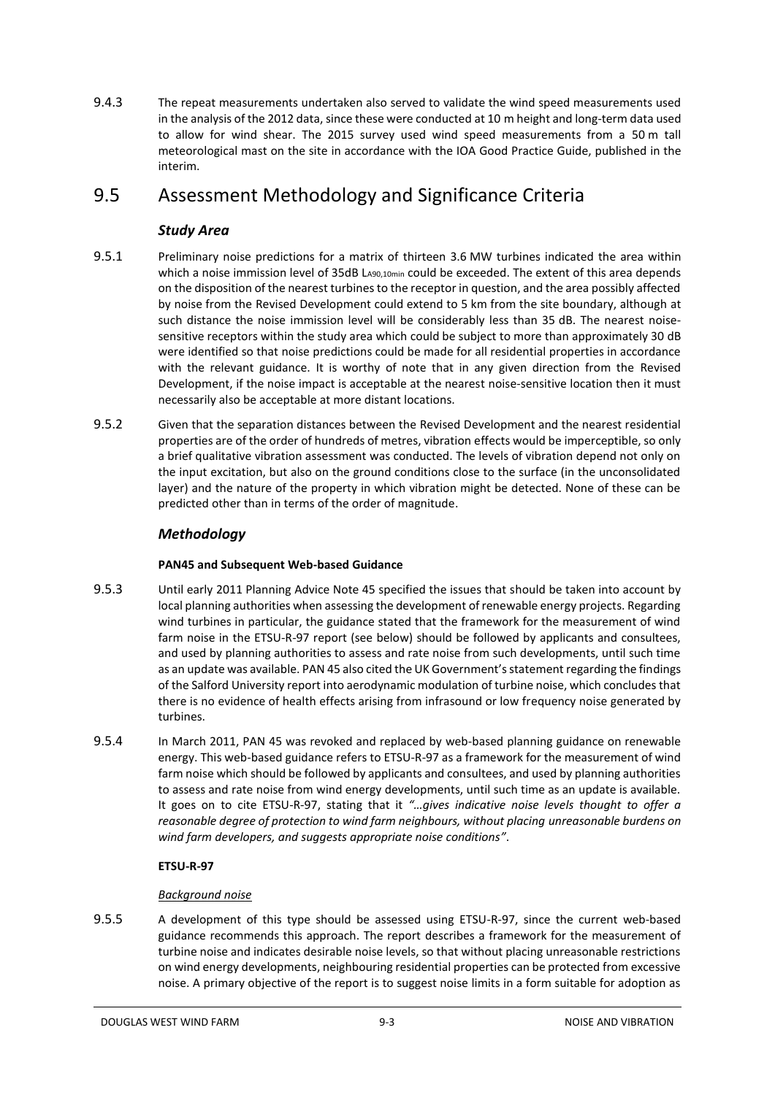9.4.3 The repeat measurements undertaken also served to validate the wind speed measurements used in the analysis of the 2012 data, since these were conducted at 10 m height and long-term data used to allow for wind shear. The 2015 survey used wind speed measurements from a 50 m tall meteorological mast on the site in accordance with the IOA Good Practice Guide, published in the interim.

# <span id="page-4-0"></span>9.5 Assessment Methodology and Significance Criteria

### *Study Area*

- 9.5.1 Preliminary noise predictions for a matrix of thirteen 3.6 MW turbines indicated the area within which a noise immission level of 35dB LA90,10min could be exceeded. The extent of this area depends on the disposition of the nearest turbines to the receptor in question, and the area possibly affected by noise from the Revised Development could extend to 5 km from the site boundary, although at such distance the noise immission level will be considerably less than 35 dB. The nearest noisesensitive receptors within the study area which could be subject to more than approximately 30 dB were identified so that noise predictions could be made for all residential properties in accordance with the relevant guidance. It is worthy of note that in any given direction from the Revised Development, if the noise impact is acceptable at the nearest noise-sensitive location then it must necessarily also be acceptable at more distant locations.
- 9.5.2 Given that the separation distances between the Revised Development and the nearest residential properties are of the order of hundreds of metres, vibration effects would be imperceptible, so only a brief qualitative vibration assessment was conducted. The levels of vibration depend not only on the input excitation, but also on the ground conditions close to the surface (in the unconsolidated layer) and the nature of the property in which vibration might be detected. None of these can be predicted other than in terms of the order of magnitude.

## *Methodology*

#### **PAN45 and Subsequent Web-based Guidance**

- 9.5.3 Until early 2011 Planning Advice Note 45 specified the issues that should be taken into account by local planning authorities when assessing the development of renewable energy projects. Regarding wind turbines in particular, the guidance stated that the framework for the measurement of wind farm noise in the ETSU-R-97 report (see below) should be followed by applicants and consultees, and used by planning authorities to assess and rate noise from such developments, until such time as an update was available. PAN 45 also cited the UK Government's statement regarding the findings of the Salford University report into aerodynamic modulation of turbine noise, which concludes that there is no evidence of health effects arising from infrasound or low frequency noise generated by turbines.
- 9.5.4 In March 2011, PAN 45 was revoked and replaced by web-based planning guidance on renewable energy. This web-based guidance refers to ETSU-R-97 as a framework for the measurement of wind farm noise which should be followed by applicants and consultees, and used by planning authorities to assess and rate noise from wind energy developments, until such time as an update is available. It goes on to cite ETSU-R-97, stating that it *"…gives indicative noise levels thought to offer a reasonable degree of protection to wind farm neighbours, without placing unreasonable burdens on wind farm developers, and suggests appropriate noise conditions"*.

#### **ETSU-R-97**

#### *Background noise*

9.5.5 A development of this type should be assessed using ETSU-R-97, since the current web-based guidance recommends this approach. The report describes a framework for the measurement of turbine noise and indicates desirable noise levels, so that without placing unreasonable restrictions on wind energy developments, neighbouring residential properties can be protected from excessive noise. A primary objective of the report is to suggest noise limits in a form suitable for adoption as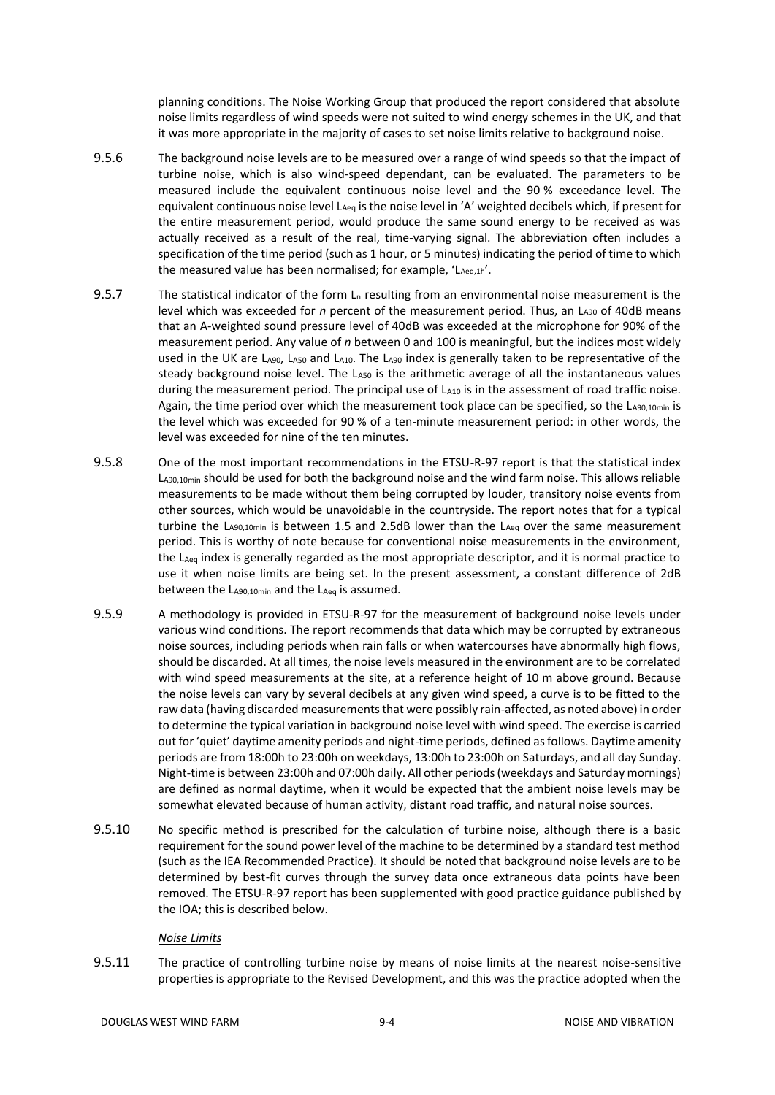planning conditions. The Noise Working Group that produced the report considered that absolute noise limits regardless of wind speeds were not suited to wind energy schemes in the UK, and that it was more appropriate in the majority of cases to set noise limits relative to background noise.

- 9.5.6 The background noise levels are to be measured over a range of wind speeds so that the impact of turbine noise, which is also wind-speed dependant, can be evaluated. The parameters to be measured include the equivalent continuous noise level and the 90 % exceedance level. The equivalent continuous noise level LAeq is the noise level in 'A' weighted decibels which, if present for the entire measurement period, would produce the same sound energy to be received as was actually received as a result of the real, time-varying signal. The abbreviation often includes a specification of the time period (such as 1 hour, or 5 minutes) indicating the period of time to which the measured value has been normalised; for example, 'LAeq,1h'.
- 9.5.7 The statistical indicator of the form  $L_n$  resulting from an environmental noise measurement is the level which was exceeded for *n* percent of the measurement period. Thus, an L<sub>A90</sub> of 40dB means that an A-weighted sound pressure level of 40dB was exceeded at the microphone for 90% of the measurement period. Any value of *n* between 0 and 100 is meaningful, but the indices most widely used in the UK are LA90, LA50 and LA10. The LA90 index is generally taken to be representative of the steady background noise level. The  $L_{A50}$  is the arithmetic average of all the instantaneous values during the measurement period. The principal use of L<sub>A10</sub> is in the assessment of road traffic noise. Again, the time period over which the measurement took place can be specified, so the  $L_{A90,10min}$  is the level which was exceeded for 90 % of a ten-minute measurement period: in other words, the level was exceeded for nine of the ten minutes.
- 9.5.8 One of the most important recommendations in the ETSU-R-97 report is that the statistical index LA90,10min should be used for both the background noise and the wind farm noise. This allows reliable measurements to be made without them being corrupted by louder, transitory noise events from other sources, which would be unavoidable in the countryside. The report notes that for a typical turbine the L<sub>A90,10min</sub> is between 1.5 and 2.5dB lower than the L<sub>Aeq</sub> over the same measurement period. This is worthy of note because for conventional noise measurements in the environment, the L<sub>Aeq</sub> index is generally regarded as the most appropriate descriptor, and it is normal practice to use it when noise limits are being set. In the present assessment, a constant difference of 2dB between the LA90,10min and the LAeq is assumed.
- 9.5.9 A methodology is provided in ETSU-R-97 for the measurement of background noise levels under various wind conditions. The report recommends that data which may be corrupted by extraneous noise sources, including periods when rain falls or when watercourses have abnormally high flows, should be discarded. At all times, the noise levels measured in the environment are to be correlated with wind speed measurements at the site, at a reference height of 10 m above ground. Because the noise levels can vary by several decibels at any given wind speed, a curve is to be fitted to the raw data (having discarded measurements that were possibly rain-affected, as noted above) in order to determine the typical variation in background noise level with wind speed. The exercise is carried out for 'quiet' daytime amenity periods and night-time periods, defined as follows. Daytime amenity periods are from 18:00h to 23:00h on weekdays, 13:00h to 23:00h on Saturdays, and all day Sunday. Night-time is between 23:00h and 07:00h daily. All other periods (weekdays and Saturday mornings) are defined as normal daytime, when it would be expected that the ambient noise levels may be somewhat elevated because of human activity, distant road traffic, and natural noise sources.
- 9.5.10 No specific method is prescribed for the calculation of turbine noise, although there is a basic requirement for the sound power level of the machine to be determined by a standard test method (such as the IEA Recommended Practice). It should be noted that background noise levels are to be determined by best-fit curves through the survey data once extraneous data points have been removed. The ETSU-R-97 report has been supplemented with good practice guidance published by the IOA; this is described below.

#### *Noise Limits*

9.5.11 The practice of controlling turbine noise by means of noise limits at the nearest noise-sensitive properties is appropriate to the Revised Development, and this was the practice adopted when the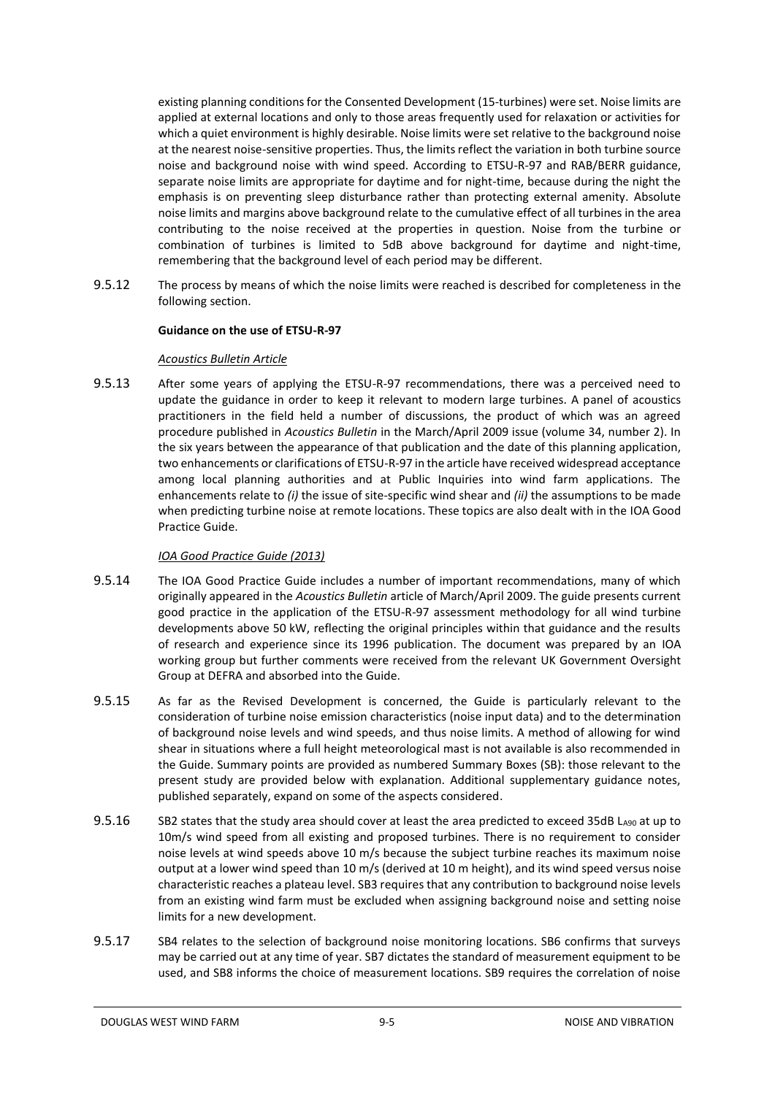existing planning conditions for the Consented Development (15-turbines) were set. Noise limits are applied at external locations and only to those areas frequently used for relaxation or activities for which a quiet environment is highly desirable. Noise limits were set relative to the background noise at the nearest noise-sensitive properties. Thus, the limits reflect the variation in both turbine source noise and background noise with wind speed. According to ETSU-R-97 and RAB/BERR guidance, separate noise limits are appropriate for daytime and for night-time, because during the night the emphasis is on preventing sleep disturbance rather than protecting external amenity. Absolute noise limits and margins above background relate to the cumulative effect of all turbines in the area contributing to the noise received at the properties in question. Noise from the turbine or combination of turbines is limited to 5dB above background for daytime and night-time, remembering that the background level of each period may be different.

9.5.12 The process by means of which the noise limits were reached is described for completeness in the following section.

#### **Guidance on the use of ETSU-R-97**

#### *Acoustics Bulletin Article*

9.5.13 After some years of applying the ETSU-R-97 recommendations, there was a perceived need to update the guidance in order to keep it relevant to modern large turbines. A panel of acoustics practitioners in the field held a number of discussions, the product of which was an agreed procedure published in *Acoustics Bulletin* in the March/April 2009 issue (volume 34, number 2). In the six years between the appearance of that publication and the date of this planning application, two enhancements or clarifications of ETSU-R-97 in the article have received widespread acceptance among local planning authorities and at Public Inquiries into wind farm applications. The enhancements relate to *(i)* the issue of site-specific wind shear and *(ii)* the assumptions to be made when predicting turbine noise at remote locations. These topics are also dealt with in the IOA Good Practice Guide.

#### *IOA Good Practice Guide (2013)*

- 9.5.14 The IOA Good Practice Guide includes a number of important recommendations, many of which originally appeared in the *Acoustics Bulletin* article of March/April 2009. The guide presents current good practice in the application of the ETSU-R-97 assessment methodology for all wind turbine developments above 50 kW, reflecting the original principles within that guidance and the results of research and experience since its 1996 publication. The document was prepared by an IOA working group but further comments were received from the relevant UK Government Oversight Group at DEFRA and absorbed into the Guide.
- 9.5.15 As far as the Revised Development is concerned, the Guide is particularly relevant to the consideration of turbine noise emission characteristics (noise input data) and to the determination of background noise levels and wind speeds, and thus noise limits. A method of allowing for wind shear in situations where a full height meteorological mast is not available is also recommended in the Guide. Summary points are provided as numbered Summary Boxes (SB): those relevant to the present study are provided below with explanation. Additional supplementary guidance notes, published separately, expand on some of the aspects considered.
- 9.5.16 SB2 states that the study area should cover at least the area predicted to exceed 35dB LA90 at up to 10m/s wind speed from all existing and proposed turbines. There is no requirement to consider noise levels at wind speeds above 10 m/s because the subject turbine reaches its maximum noise output at a lower wind speed than 10 m/s (derived at 10 m height), and its wind speed versus noise characteristic reaches a plateau level. SB3 requires that any contribution to background noise levels from an existing wind farm must be excluded when assigning background noise and setting noise limits for a new development.
- 9.5.17 SB4 relates to the selection of background noise monitoring locations. SB6 confirms that surveys may be carried out at any time of year. SB7 dictates the standard of measurement equipment to be used, and SB8 informs the choice of measurement locations. SB9 requires the correlation of noise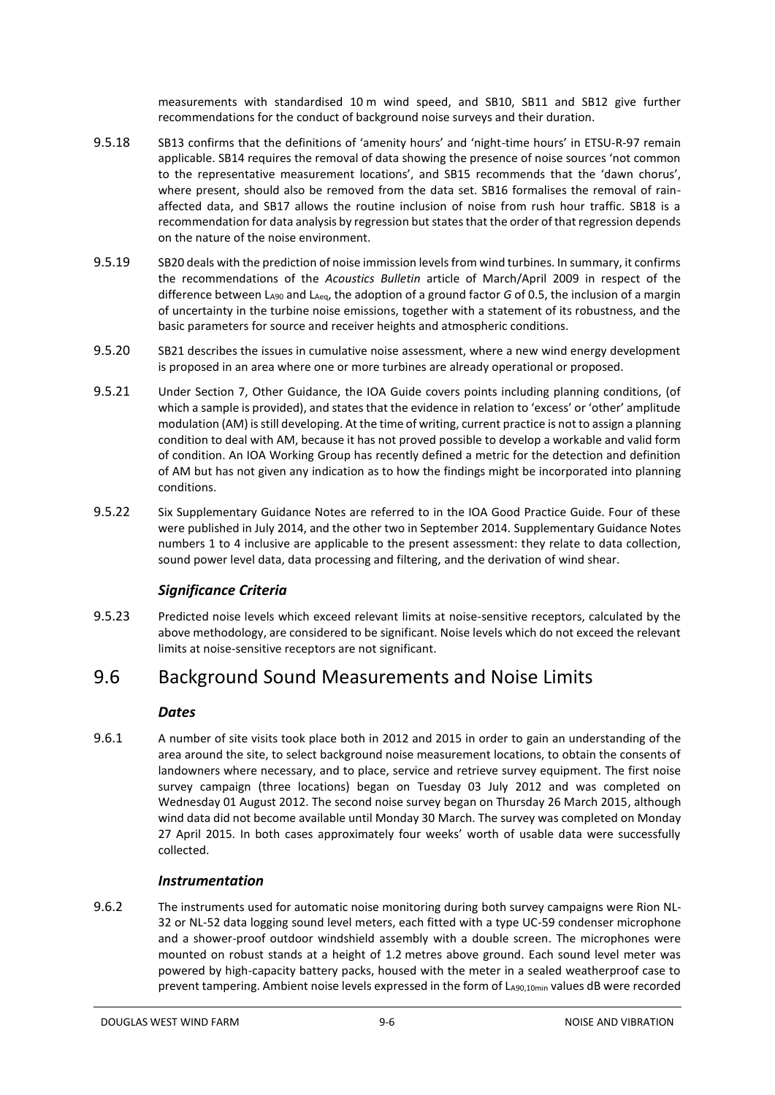measurements with standardised 10 m wind speed, and SB10, SB11 and SB12 give further recommendations for the conduct of background noise surveys and their duration.

- 9.5.18 SB13 confirms that the definitions of 'amenity hours' and 'night-time hours' in ETSU-R-97 remain applicable. SB14 requires the removal of data showing the presence of noise sources 'not common to the representative measurement locations', and SB15 recommends that the 'dawn chorus', where present, should also be removed from the data set. SB16 formalises the removal of rainaffected data, and SB17 allows the routine inclusion of noise from rush hour traffic. SB18 is a recommendation for data analysis by regression but states that the order of that regression depends on the nature of the noise environment.
- 9.5.19 SB20 deals with the prediction of noise immission levels from wind turbines. In summary, it confirms the recommendations of the *Acoustics Bulletin* article of March/April 2009 in respect of the difference between L<sub>A90</sub> and L<sub>Aeq</sub>, the adoption of a ground factor *G* of 0.5, the inclusion of a margin of uncertainty in the turbine noise emissions, together with a statement of its robustness, and the basic parameters for source and receiver heights and atmospheric conditions.
- 9.5.20 SB21 describes the issues in cumulative noise assessment, where a new wind energy development is proposed in an area where one or more turbines are already operational or proposed.
- 9.5.21 Under Section 7, Other Guidance, the IOA Guide covers points including planning conditions, (of which a sample is provided), and states that the evidence in relation to 'excess' or 'other' amplitude modulation (AM) is still developing. At the time of writing, current practice is not to assign a planning condition to deal with AM, because it has not proved possible to develop a workable and valid form of condition. An IOA Working Group has recently defined a metric for the detection and definition of AM but has not given any indication as to how the findings might be incorporated into planning conditions.
- 9.5.22 Six Supplementary Guidance Notes are referred to in the IOA Good Practice Guide. Four of these were published in July 2014, and the other two in September 2014. Supplementary Guidance Notes numbers 1 to 4 inclusive are applicable to the present assessment: they relate to data collection, sound power level data, data processing and filtering, and the derivation of wind shear.

## *Significance Criteria*

9.5.23 Predicted noise levels which exceed relevant limits at noise-sensitive receptors, calculated by the above methodology, are considered to be significant. Noise levels which do not exceed the relevant limits at noise-sensitive receptors are not significant.

# <span id="page-7-0"></span>9.6 Background Sound Measurements and Noise Limits

#### *Dates*

9.6.1 A number of site visits took place both in 2012 and 2015 in order to gain an understanding of the area around the site, to select background noise measurement locations, to obtain the consents of landowners where necessary, and to place, service and retrieve survey equipment. The first noise survey campaign (three locations) began on Tuesday 03 July 2012 and was completed on Wednesday 01 August 2012. The second noise survey began on Thursday 26 March 2015, although wind data did not become available until Monday 30 March. The survey was completed on Monday 27 April 2015. In both cases approximately four weeks' worth of usable data were successfully collected.

## *Instrumentation*

9.6.2 The instruments used for automatic noise monitoring during both survey campaigns were Rion NL-32 or NL-52 data logging sound level meters, each fitted with a type UC-59 condenser microphone and a shower-proof outdoor windshield assembly with a double screen. The microphones were mounted on robust stands at a height of 1.2 metres above ground. Each sound level meter was powered by high-capacity battery packs, housed with the meter in a sealed weatherproof case to prevent tampering. Ambient noise levels expressed in the form of LA90,10min values dB were recorded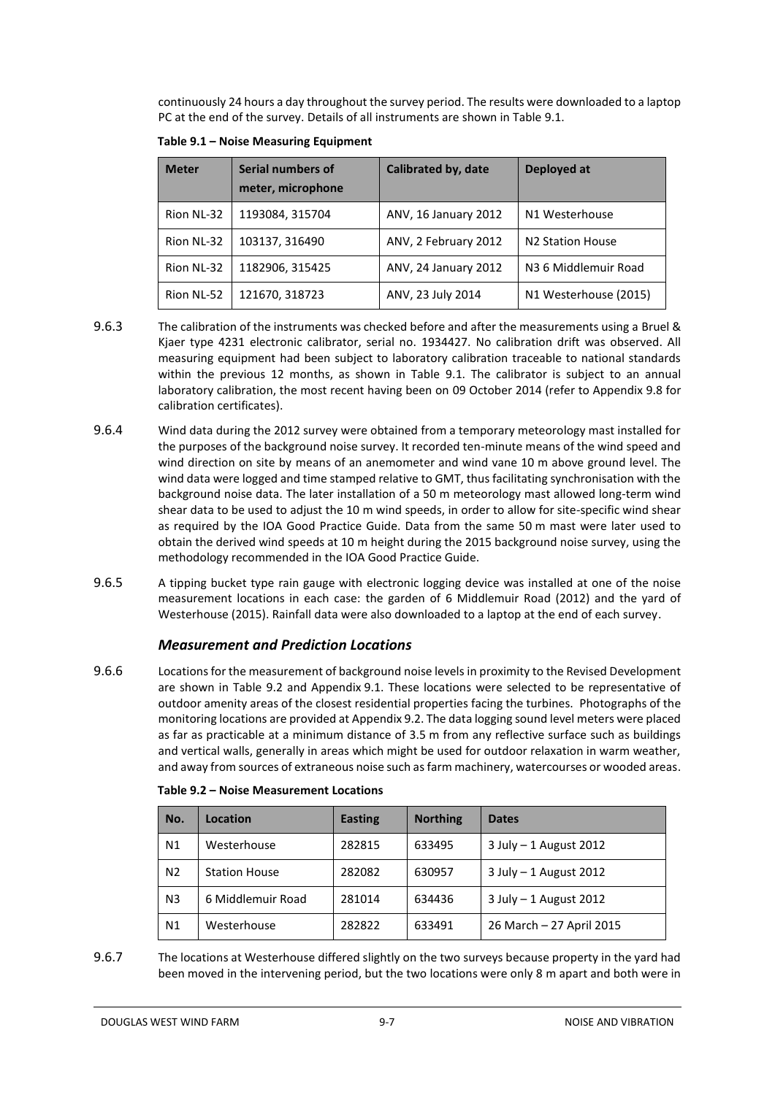continuously 24 hours a day throughout the survey period. The results were downloaded to a laptop PC at the end of the survey. Details of all instruments are shown in Table 9.1.

| <b>Meter</b> | Serial numbers of<br>meter, microphone | Calibrated by, date<br>Deployed at |                       |  |  |
|--------------|----------------------------------------|------------------------------------|-----------------------|--|--|
| Rion NL-32   | 1193084, 315704                        | ANV, 16 January 2012               | N1 Westerhouse        |  |  |
| Rion NL-32   | 103137, 316490                         | ANV, 2 February 2012               | N2 Station House      |  |  |
| Rion NL-32   | 1182906, 315425                        | ANV, 24 January 2012               | N3 6 Middlemuir Road  |  |  |
| Rion NL-52   | 121670, 318723                         | ANV, 23 July 2014                  | N1 Westerhouse (2015) |  |  |

**Table 9.1 – Noise Measuring Equipment**

- 9.6.3 The calibration of the instruments was checked before and after the measurements using a Bruel & Kjaer type 4231 electronic calibrator, serial no. 1934427. No calibration drift was observed. All measuring equipment had been subject to laboratory calibration traceable to national standards within the previous 12 months, as shown in Table 9.1. The calibrator is subject to an annual laboratory calibration, the most recent having been on 09 October 2014 (refer to Appendix 9.8 for calibration certificates).
- 9.6.4 Wind data during the 2012 survey were obtained from a temporary meteorology mast installed for the purposes of the background noise survey. It recorded ten-minute means of the wind speed and wind direction on site by means of an anemometer and wind vane 10 m above ground level. The wind data were logged and time stamped relative to GMT, thus facilitating synchronisation with the background noise data. The later installation of a 50 m meteorology mast allowed long-term wind shear data to be used to adjust the 10 m wind speeds, in order to allow for site-specific wind shear as required by the IOA Good Practice Guide. Data from the same 50 m mast were later used to obtain the derived wind speeds at 10 m height during the 2015 background noise survey, using the methodology recommended in the IOA Good Practice Guide.
- 9.6.5 A tipping bucket type rain gauge with electronic logging device was installed at one of the noise measurement locations in each case: the garden of 6 Middlemuir Road (2012) and the yard of Westerhouse (2015). Rainfall data were also downloaded to a laptop at the end of each survey.

## *Measurement and Prediction Locations*

9.6.6 Locations for the measurement of background noise levels in proximity to the Revised Development are shown in Table 9.2 and Appendix 9.1. These locations were selected to be representative of outdoor amenity areas of the closest residential properties facing the turbines. Photographs of the monitoring locations are provided at Appendix 9.2. The data logging sound level meters were placed as far as practicable at a minimum distance of 3.5 m from any reflective surface such as buildings and vertical walls, generally in areas which might be used for outdoor relaxation in warm weather, and away from sources of extraneous noise such as farm machinery, watercourses or wooded areas.

| No.            | Location             | <b>Northing</b><br><b>Easting</b> |        | <b>Dates</b>              |  |  |
|----------------|----------------------|-----------------------------------|--------|---------------------------|--|--|
| N1             | Westerhouse          | 282815                            | 633495 | $3$ July $-1$ August 2012 |  |  |
| N <sub>2</sub> | <b>Station House</b> | 282082                            | 630957 | $3$ July $-1$ August 2012 |  |  |
| N <sub>3</sub> | 6 Middlemuir Road    | 281014                            | 634436 | $3$ July $-1$ August 2012 |  |  |
| N <sub>1</sub> | Westerhouse          | 282822                            | 633491 | 26 March - 27 April 2015  |  |  |

**Table 9.2 – Noise Measurement Locations**

9.6.7 The locations at Westerhouse differed slightly on the two surveys because property in the yard had been moved in the intervening period, but the two locations were only 8 m apart and both were in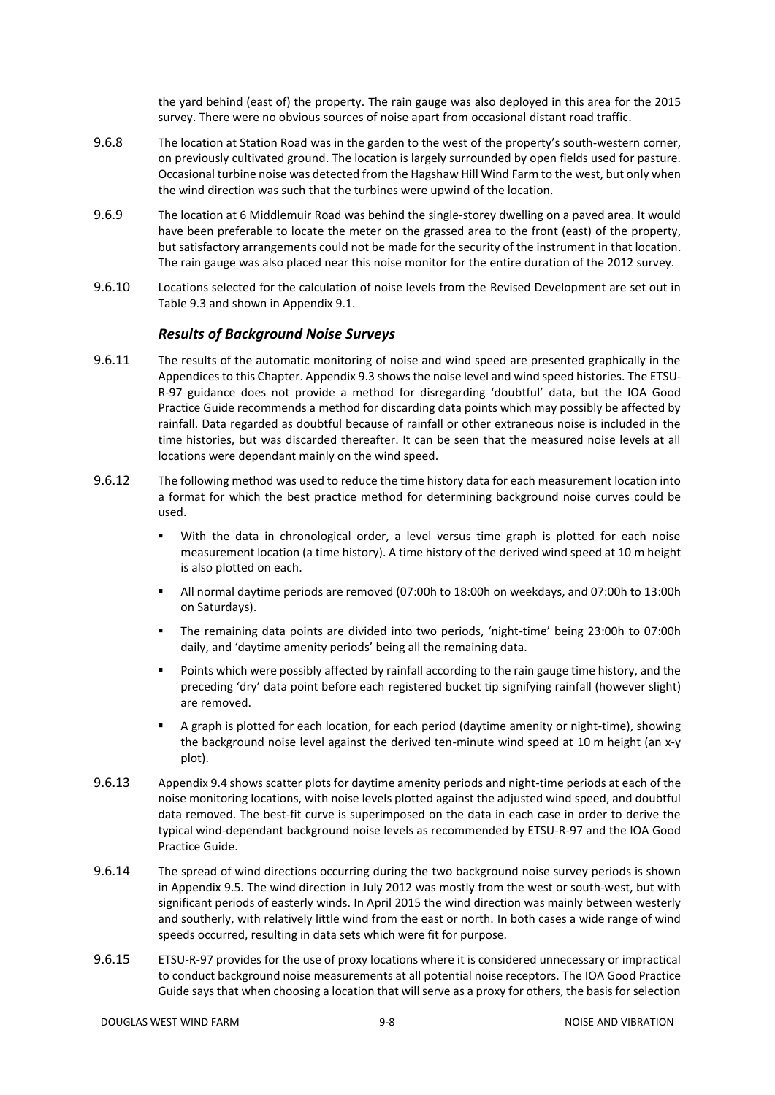the yard behind (east of) the property. The rain gauge was also deployed in this area for the 2015 survey. There were no obvious sources of noise apart from occasional distant road traffic.

- 9.6.8 The location at Station Road was in the garden to the west of the property's south-western corner, on previously cultivated ground. The location is largely surrounded by open fields used for pasture. Occasional turbine noise was detected from the Hagshaw Hill Wind Farm to the west, but only when the wind direction was such that the turbines were upwind of the location.
- 9.6.9 The location at 6 Middlemuir Road was behind the single-storey dwelling on a paved area. It would have been preferable to locate the meter on the grassed area to the front (east) of the property, but satisfactory arrangements could not be made for the security of the instrument in that location. The rain gauge was also placed near this noise monitor for the entire duration of the 2012 survey.
- 9.6.10 Locations selected for the calculation of noise levels from the Revised Development are set out in Table 9.3 and shown in Appendix 9.1.

#### *Results of Background Noise Surveys*

- 9.6.11 The results of the automatic monitoring of noise and wind speed are presented graphically in the Appendices to this Chapter. Appendix 9.3 shows the noise level and wind speed histories. The ETSU-R-97 guidance does not provide a method for disregarding 'doubtful' data, but the IOA Good Practice Guide recommends a method for discarding data points which may possibly be affected by rainfall. Data regarded as doubtful because of rainfall or other extraneous noise is included in the time histories, but was discarded thereafter. It can be seen that the measured noise levels at all locations were dependant mainly on the wind speed.
- 9.6.12 The following method was used to reduce the time history data for each measurement location into a format for which the best practice method for determining background noise curves could be used.
	- With the data in chronological order, a level versus time graph is plotted for each noise measurement location (a time history). A time history of the derived wind speed at 10 m height is also plotted on each.
	- All normal daytime periods are removed (07:00h to 18:00h on weekdays, and 07:00h to 13:00h on Saturdays).
	- The remaining data points are divided into two periods, 'night-time' being 23:00h to 07:00h daily, and 'daytime amenity periods' being all the remaining data.
	- Points which were possibly affected by rainfall according to the rain gauge time history, and the preceding 'dry' data point before each registered bucket tip signifying rainfall (however slight) are removed.
	- A graph is plotted for each location, for each period (daytime amenity or night-time), showing the background noise level against the derived ten-minute wind speed at 10 m height (an x-y plot).
- 9.6.13 Appendix 9.4 shows scatter plots for daytime amenity periods and night-time periods at each of the noise monitoring locations, with noise levels plotted against the adjusted wind speed, and doubtful data removed. The best-fit curve is superimposed on the data in each case in order to derive the typical wind-dependant background noise levels as recommended by ETSU-R-97 and the IOA Good Practice Guide.
- 9.6.14 The spread of wind directions occurring during the two background noise survey periods is shown in Appendix 9.5. The wind direction in July 2012 was mostly from the west or south-west, but with significant periods of easterly winds. In April 2015 the wind direction was mainly between westerly and southerly, with relatively little wind from the east or north. In both cases a wide range of wind speeds occurred, resulting in data sets which were fit for purpose.
- 9.6.15 ETSU-R-97 provides for the use of proxy locations where it is considered unnecessary or impractical to conduct background noise measurements at all potential noise receptors. The IOA Good Practice Guide says that when choosing a location that will serve as a proxy for others, the basis for selection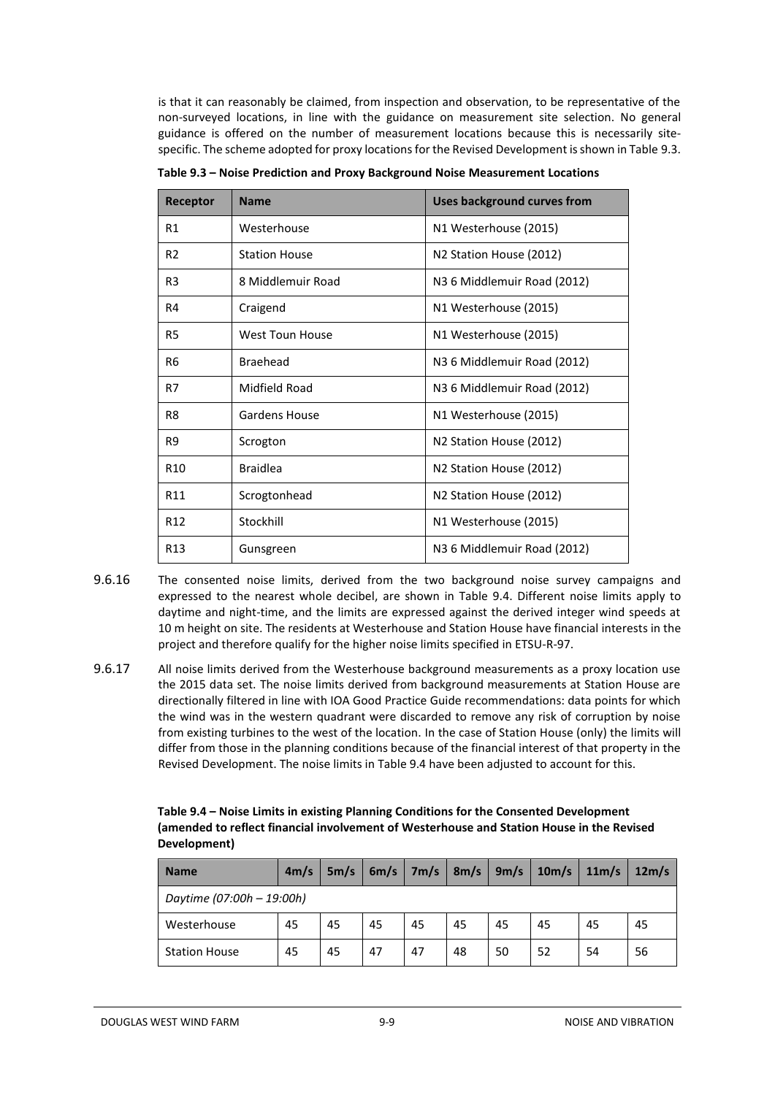is that it can reasonably be claimed, from inspection and observation, to be representative of the non-surveyed locations, in line with the guidance on measurement site selection. No general guidance is offered on the number of measurement locations because this is necessarily sitespecific. The scheme adopted for proxy locations for the Revised Development is shown in Table 9.3.

| Receptor        | <b>Name</b>          | <b>Uses background curves from</b>  |
|-----------------|----------------------|-------------------------------------|
| R1              | Westerhouse          | N1 Westerhouse (2015)               |
| R <sub>2</sub>  | <b>Station House</b> | N <sub>2</sub> Station House (2012) |
| R <sub>3</sub>  | 8 Middlemuir Road    | N3 6 Middlemuir Road (2012)         |
| R4              | Craigend             | N1 Westerhouse (2015)               |
| R <sub>5</sub>  | West Toun House      | N1 Westerhouse (2015)               |
| R <sub>6</sub>  | <b>Braehead</b>      | N3 6 Middlemuir Road (2012)         |
| R7              | Midfield Road        | N3 6 Middlemuir Road (2012)         |
| R8              | Gardens House        | N1 Westerhouse (2015)               |
| R <sub>9</sub>  | Scrogton             | N <sub>2</sub> Station House (2012) |
| R <sub>10</sub> | <b>Braidlea</b>      | N2 Station House (2012)             |
| R11             | Scrogtonhead         | N <sub>2</sub> Station House (2012) |
| R <sub>12</sub> | Stockhill            | N1 Westerhouse (2015)               |
| R <sub>13</sub> | Gunsgreen            | N3 6 Middlemuir Road (2012)         |

**Table 9.3 – Noise Prediction and Proxy Background Noise Measurement Locations**

- 9.6.16 The consented noise limits, derived from the two background noise survey campaigns and expressed to the nearest whole decibel, are shown in Table 9.4. Different noise limits apply to daytime and night-time, and the limits are expressed against the derived integer wind speeds at 10 m height on site. The residents at Westerhouse and Station House have financial interests in the project and therefore qualify for the higher noise limits specified in ETSU-R-97.
- 9.6.17 All noise limits derived from the Westerhouse background measurements as a proxy location use the 2015 data set. The noise limits derived from background measurements at Station House are directionally filtered in line with IOA Good Practice Guide recommendations: data points for which the wind was in the western quadrant were discarded to remove any risk of corruption by noise from existing turbines to the west of the location. In the case of Station House (only) the limits will differ from those in the planning conditions because of the financial interest of that property in the Revised Development. The noise limits in Table 9.4 have been adjusted to account for this.

#### **Table 9.4 – Noise Limits in existing Planning Conditions for the Consented Development (amended to reflect financial involvement of Westerhouse and Station House in the Revised Development)**

| <b>Name</b>               | 4m/s | 5m/s | 6m/s | 7m/s | 8m/s | 9m/s | $10m/s$   $11m/s$ |    | 12m/s |  |
|---------------------------|------|------|------|------|------|------|-------------------|----|-------|--|
| Daytime (07:00h - 19:00h) |      |      |      |      |      |      |                   |    |       |  |
| Westerhouse               | 45   | 45   | 45   | 45   | 45   | 45   | 45                | 45 | 45    |  |
| <b>Station House</b>      | 45   | 45   | 47   | 47   | 48   | 50   | 52                | 54 | 56    |  |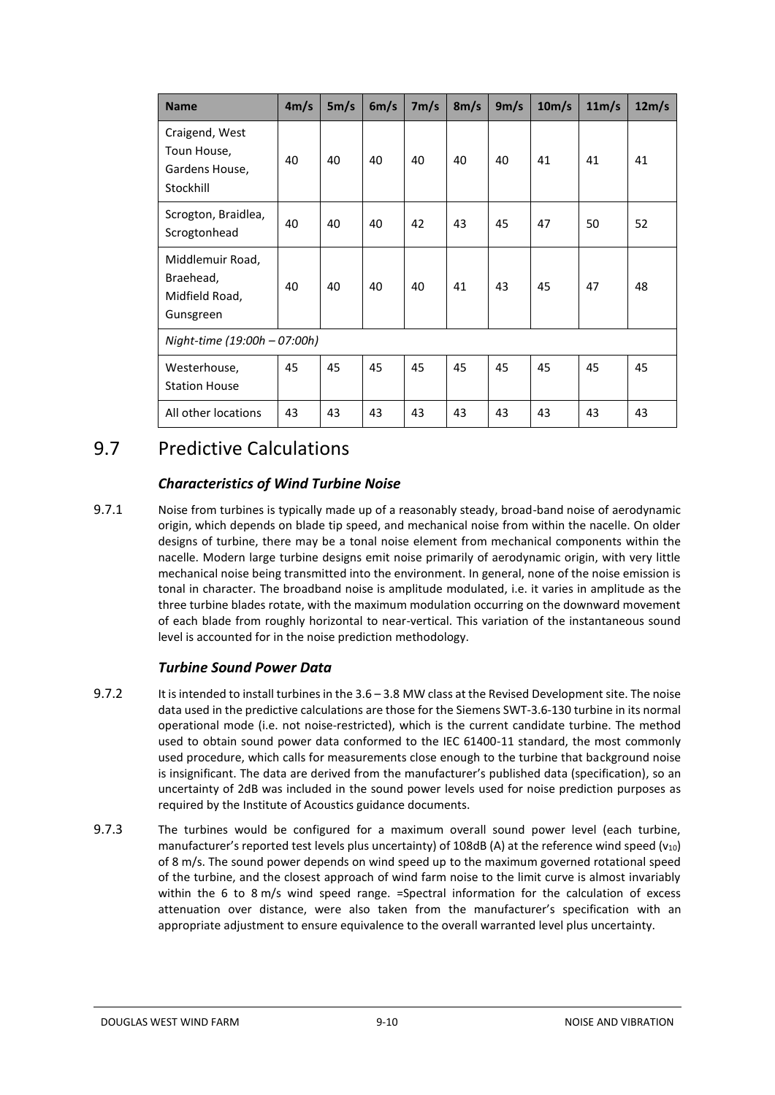| <b>Name</b>                                                  | 4m/s | 5m/s | 6m/s | 7m/s | 8m/s | 9m/s | 10 <sub>m</sub> /s | 11m/s | 12m/s |
|--------------------------------------------------------------|------|------|------|------|------|------|--------------------|-------|-------|
| Craigend, West<br>Toun House,<br>Gardens House,<br>Stockhill | 40   | 40   | 40   | 40   | 40   | 40   | 41                 | 41    | 41    |
| Scrogton, Braidlea,<br>Scrogtonhead                          | 40   | 40   | 40   | 42   | 43   | 45   | 47                 | 50    | 52    |
| Middlemuir Road,<br>Braehead,<br>Midfield Road,<br>Gunsgreen | 40   | 40   | 40   | 40   | 41   | 43   | 45                 | 47    | 48    |
| Night-time (19:00h - 07:00h)                                 |      |      |      |      |      |      |                    |       |       |
| Westerhouse,<br><b>Station House</b>                         | 45   | 45   | 45   | 45   | 45   | 45   | 45                 | 45    | 45    |
| All other locations                                          | 43   | 43   | 43   | 43   | 43   | 43   | 43                 | 43    | 43    |

# <span id="page-11-0"></span>9.7 Predictive Calculations

## *Characteristics of Wind Turbine Noise*

9.7.1 Noise from turbines is typically made up of a reasonably steady, broad-band noise of aerodynamic origin, which depends on blade tip speed, and mechanical noise from within the nacelle. On older designs of turbine, there may be a tonal noise element from mechanical components within the nacelle. Modern large turbine designs emit noise primarily of aerodynamic origin, with very little mechanical noise being transmitted into the environment. In general, none of the noise emission is tonal in character. The broadband noise is amplitude modulated, i.e. it varies in amplitude as the three turbine blades rotate, with the maximum modulation occurring on the downward movement of each blade from roughly horizontal to near-vertical. This variation of the instantaneous sound level is accounted for in the noise prediction methodology.

## *Turbine Sound Power Data*

- 9.7.2 It is intended to install turbines in the 3.6 3.8 MW class at the Revised Development site. The noise data used in the predictive calculations are those for the Siemens SWT-3.6-130 turbine in its normal operational mode (i.e. not noise-restricted), which is the current candidate turbine. The method used to obtain sound power data conformed to the IEC 61400-11 standard, the most commonly used procedure, which calls for measurements close enough to the turbine that background noise is insignificant. The data are derived from the manufacturer's published data (specification), so an uncertainty of 2dB was included in the sound power levels used for noise prediction purposes as required by the Institute of Acoustics guidance documents.
- 9.7.3 The turbines would be configured for a maximum overall sound power level (each turbine, manufacturer's reported test levels plus uncertainty) of 108dB (A) at the reference wind speed (v<sub>10</sub>) of 8 m/s. The sound power depends on wind speed up to the maximum governed rotational speed of the turbine, and the closest approach of wind farm noise to the limit curve is almost invariably within the 6 to 8 m/s wind speed range. =Spectral information for the calculation of excess attenuation over distance, were also taken from the manufacturer's specification with an appropriate adjustment to ensure equivalence to the overall warranted level plus uncertainty.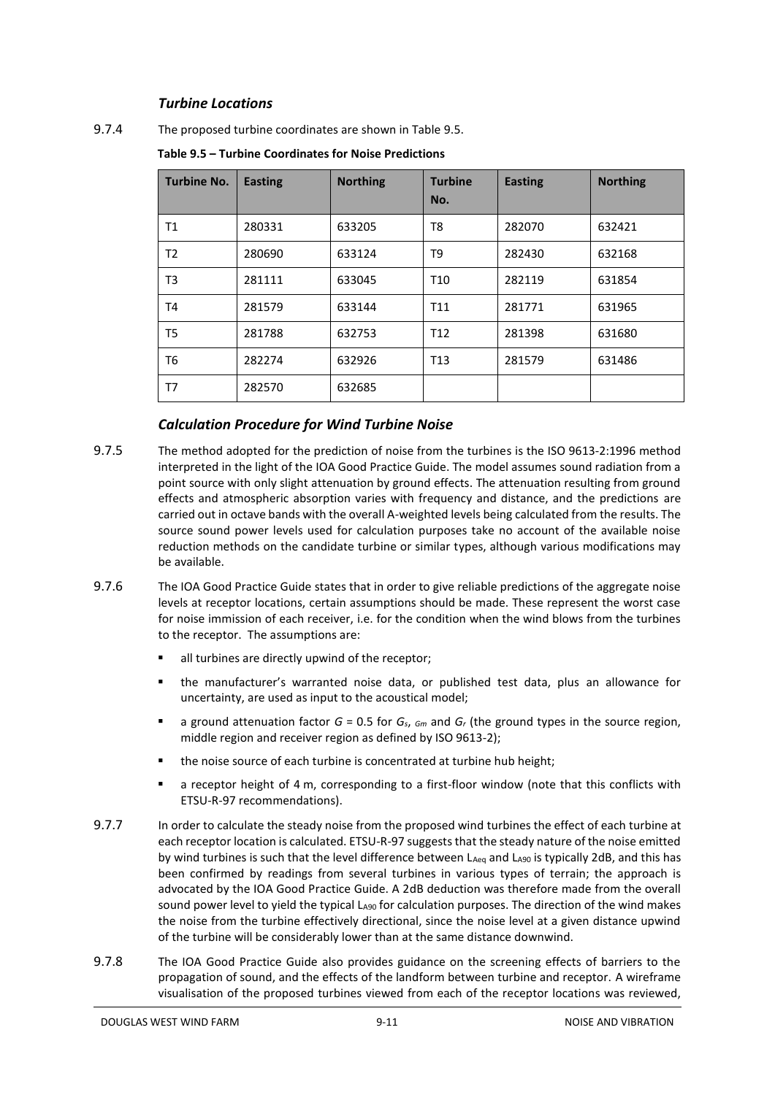#### *Turbine Locations*

9.7.4 The proposed turbine coordinates are shown in Table 9.5.

| <b>Turbine No.</b> | <b>Easting</b> | <b>Northing</b> | <b>Turbine</b><br>No. | <b>Easting</b> | <b>Northing</b> |
|--------------------|----------------|-----------------|-----------------------|----------------|-----------------|
| Τ1                 | 280331         | 633205          | T8                    | 282070         | 632421          |
| T2                 | 280690         | 633124          | T <sub>9</sub>        | 282430         | 632168          |
| T3                 | 281111         | 633045          | T <sub>10</sub>       | 282119         | 631854          |
| T4                 | 281579         | 633144          | T <sub>11</sub>       | 281771         | 631965          |
| T5                 | 281788         | 632753          | T <sub>12</sub>       | 281398         | 631680          |
| Т6                 | 282274         | 632926          | T <sub>13</sub>       | 281579         | 631486          |
| Т7                 | 282570         | 632685          |                       |                |                 |

**Table 9.5 – Turbine Coordinates for Noise Predictions**

#### *Calculation Procedure for Wind Turbine Noise*

- 9.7.5 The method adopted for the prediction of noise from the turbines is the ISO 9613-2:1996 method interpreted in the light of the IOA Good Practice Guide. The model assumes sound radiation from a point source with only slight attenuation by ground effects. The attenuation resulting from ground effects and atmospheric absorption varies with frequency and distance, and the predictions are carried out in octave bands with the overall A-weighted levels being calculated from the results. The source sound power levels used for calculation purposes take no account of the available noise reduction methods on the candidate turbine or similar types, although various modifications may be available.
- 9.7.6 The IOA Good Practice Guide states that in order to give reliable predictions of the aggregate noise levels at receptor locations, certain assumptions should be made. These represent the worst case for noise immission of each receiver, i.e. for the condition when the wind blows from the turbines to the receptor. The assumptions are:
	- **all turbines are directly upwind of the receptor;**
	- the manufacturer's warranted noise data, or published test data, plus an allowance for uncertainty, are used as input to the acoustical model;
	- a ground attenuation factor *G* = 0.5 for *G*<sub>*s*</sub>, *Gm* and *G<sub>r</sub>* (the ground types in the source region, middle region and receiver region as defined by ISO 9613-2);
	- the noise source of each turbine is concentrated at turbine hub height;
	- a receptor height of 4 m, corresponding to a first-floor window (note that this conflicts with ETSU-R-97 recommendations).
- 9.7.7 In order to calculate the steady noise from the proposed wind turbines the effect of each turbine at each receptor location is calculated. ETSU-R-97 suggests that the steady nature of the noise emitted by wind turbines is such that the level difference between  $L_{Aeq}$  and  $L_{A90}$  is typically 2dB, and this has been confirmed by readings from several turbines in various types of terrain; the approach is advocated by the IOA Good Practice Guide. A 2dB deduction was therefore made from the overall sound power level to yield the typical LA90 for calculation purposes. The direction of the wind makes the noise from the turbine effectively directional, since the noise level at a given distance upwind of the turbine will be considerably lower than at the same distance downwind.
- 9.7.8 The IOA Good Practice Guide also provides guidance on the screening effects of barriers to the propagation of sound, and the effects of the landform between turbine and receptor. A wireframe visualisation of the proposed turbines viewed from each of the receptor locations was reviewed,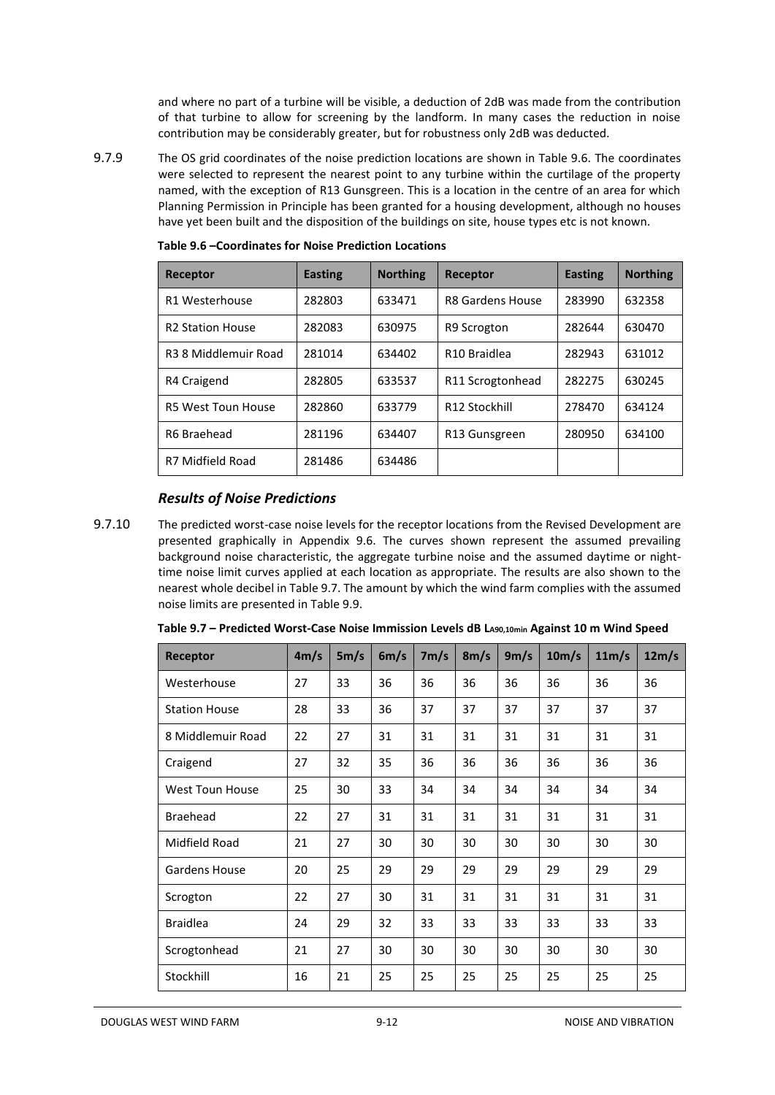and where no part of a turbine will be visible, a deduction of 2dB was made from the contribution of that turbine to allow for screening by the landform. In many cases the reduction in noise contribution may be considerably greater, but for robustness only 2dB was deducted.

9.7.9 The OS grid coordinates of the noise prediction locations are shown in Table 9.6. The coordinates were selected to represent the nearest point to any turbine within the curtilage of the property named, with the exception of R13 Gunsgreen. This is a location in the centre of an area for which Planning Permission in Principle has been granted for a housing development, although no houses have yet been built and the disposition of the buildings on site, house types etc is not known.

| Receptor                | <b>Easting</b> | <b>Northing</b> | Receptor                 | <b>Easting</b> | <b>Northing</b> |
|-------------------------|----------------|-----------------|--------------------------|----------------|-----------------|
| R1 Westerhouse          | 282803         | 633471          | R8 Gardens House         | 283990         | 632358          |
| <b>R2 Station House</b> | 282083         | 630975          | R9 Scrogton              | 282644         | 630470          |
| R3 8 Middlemuir Road    | 281014         | 634402          | R <sub>10</sub> Braidlea | 282943         | 631012          |
| R4 Craigend             | 282805         | 633537          | R11 Scrogtonhead         | 282275         | 630245          |
| R5 West Toun House      | 282860         | 633779          | R12 Stockhill            | 278470         | 634124          |
| R6 Braehead             | 281196         | 634407          | R13 Gunsgreen            | 280950         | 634100          |
| R7 Midfield Road        | 281486         | 634486          |                          |                |                 |

**Table 9.6 –Coordinates for Noise Prediction Locations**

### *Results of Noise Predictions*

9.7.10 The predicted worst-case noise levels for the receptor locations from the Revised Development are presented graphically in Appendix 9.6. The curves shown represent the assumed prevailing background noise characteristic, the aggregate turbine noise and the assumed daytime or nighttime noise limit curves applied at each location as appropriate. The results are also shown to the nearest whole decibel in Table 9.7. The amount by which the wind farm complies with the assumed noise limits are presented in Table 9.9.

| Receptor               | 4m/s | 5m/s | 6m/s | 7m/s | 8m/s | 9m/s | 10 <sub>m</sub> /s | 11m/s | 12m/s |
|------------------------|------|------|------|------|------|------|--------------------|-------|-------|
| Westerhouse            | 27   | 33   | 36   | 36   | 36   | 36   | 36                 | 36    | 36    |
| <b>Station House</b>   | 28   | 33   | 36   | 37   | 37   | 37   | 37                 | 37    | 37    |
| 8 Middlemuir Road      | 22   | 27   | 31   | 31   | 31   | 31   | 31                 | 31    | 31    |
| Craigend               | 27   | 32   | 35   | 36   | 36   | 36   | 36                 | 36    | 36    |
| <b>West Toun House</b> | 25   | 30   | 33   | 34   | 34   | 34   | 34                 | 34    | 34    |
| <b>Braehead</b>        | 22   | 27   | 31   | 31   | 31   | 31   | 31                 | 31    | 31    |
| Midfield Road          | 21   | 27   | 30   | 30   | 30   | 30   | 30                 | 30    | 30    |
| Gardens House          | 20   | 25   | 29   | 29   | 29   | 29   | 29                 | 29    | 29    |
| Scrogton               | 22   | 27   | 30   | 31   | 31   | 31   | 31                 | 31    | 31    |
| <b>Braidlea</b>        | 24   | 29   | 32   | 33   | 33   | 33   | 33                 | 33    | 33    |
| Scrogtonhead           | 21   | 27   | 30   | 30   | 30   | 30   | 30                 | 30    | 30    |
| Stockhill              | 16   | 21   | 25   | 25   | 25   | 25   | 25                 | 25    | 25    |

**Table 9.7 – Predicted Worst-Case Noise Immission Levels dB LA90,10min Against 10 m Wind Speed**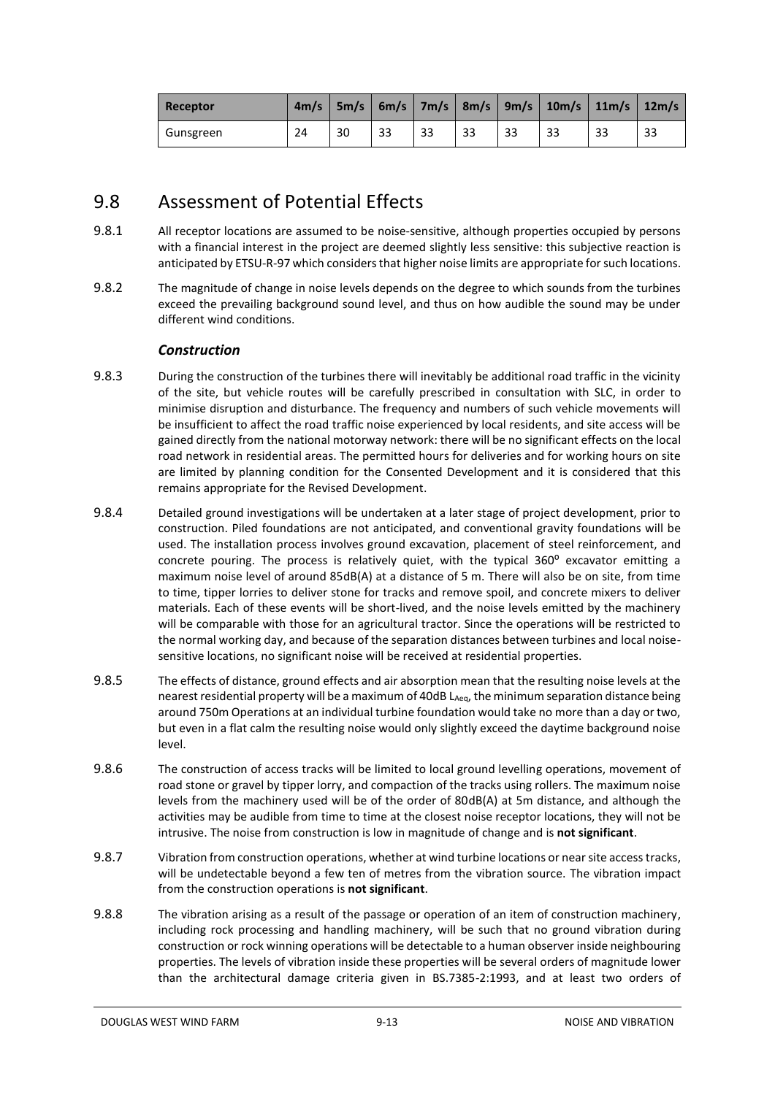| <b>Receptor</b> | 4m/s | $\vert$ 5m/s | $\vert$ 6m/s |    |    |    |    | 7m/s   8m/s   9m/s   10m/s   11m/s   12m/s |    |
|-----------------|------|--------------|--------------|----|----|----|----|--------------------------------------------|----|
| Gunsgreen       | 24   | 30           | 33           | 33 | 33 | 33 | 33 | 33                                         | 33 |

# <span id="page-14-0"></span>9.8 Assessment of Potential Effects

- 9.8.1 All receptor locations are assumed to be noise-sensitive, although properties occupied by persons with a financial interest in the project are deemed slightly less sensitive: this subjective reaction is anticipated by ETSU-R-97 which considers that higher noise limits are appropriate for such locations.
- 9.8.2 The magnitude of change in noise levels depends on the degree to which sounds from the turbines exceed the prevailing background sound level, and thus on how audible the sound may be under different wind conditions.

### *Construction*

- 9.8.3 During the construction of the turbines there will inevitably be additional road traffic in the vicinity of the site, but vehicle routes will be carefully prescribed in consultation with SLC, in order to minimise disruption and disturbance. The frequency and numbers of such vehicle movements will be insufficient to affect the road traffic noise experienced by local residents, and site access will be gained directly from the national motorway network: there will be no significant effects on the local road network in residential areas. The permitted hours for deliveries and for working hours on site are limited by planning condition for the Consented Development and it is considered that this remains appropriate for the Revised Development.
- 9.8.4 Detailed ground investigations will be undertaken at a later stage of project development, prior to construction. Piled foundations are not anticipated, and conventional gravity foundations will be used. The installation process involves ground excavation, placement of steel reinforcement, and concrete pouring. The process is relatively quiet, with the typical 360° excavator emitting a maximum noise level of around 85dB(A) at a distance of 5 m. There will also be on site, from time to time, tipper lorries to deliver stone for tracks and remove spoil, and concrete mixers to deliver materials. Each of these events will be short-lived, and the noise levels emitted by the machinery will be comparable with those for an agricultural tractor. Since the operations will be restricted to the normal working day, and because of the separation distances between turbines and local noisesensitive locations, no significant noise will be received at residential properties.
- 9.8.5 The effects of distance, ground effects and air absorption mean that the resulting noise levels at the nearest residential property will be a maximum of 40dB L<sub>Aeq</sub>, the minimum separation distance being around 750m Operations at an individual turbine foundation would take no more than a day or two, but even in a flat calm the resulting noise would only slightly exceed the daytime background noise level.
- 9.8.6 The construction of access tracks will be limited to local ground levelling operations, movement of road stone or gravel by tipper lorry, and compaction of the tracks using rollers. The maximum noise levels from the machinery used will be of the order of 80dB(A) at 5m distance, and although the activities may be audible from time to time at the closest noise receptor locations, they will not be intrusive. The noise from construction is low in magnitude of change and is **not significant**.
- 9.8.7 Vibration from construction operations, whether at wind turbine locations or near site access tracks, will be undetectable beyond a few ten of metres from the vibration source. The vibration impact from the construction operations is **not significant**.
- 9.8.8 The vibration arising as a result of the passage or operation of an item of construction machinery, including rock processing and handling machinery, will be such that no ground vibration during construction or rock winning operations will be detectable to a human observer inside neighbouring properties. The levels of vibration inside these properties will be several orders of magnitude lower than the architectural damage criteria given in BS.7385-2:1993, and at least two orders of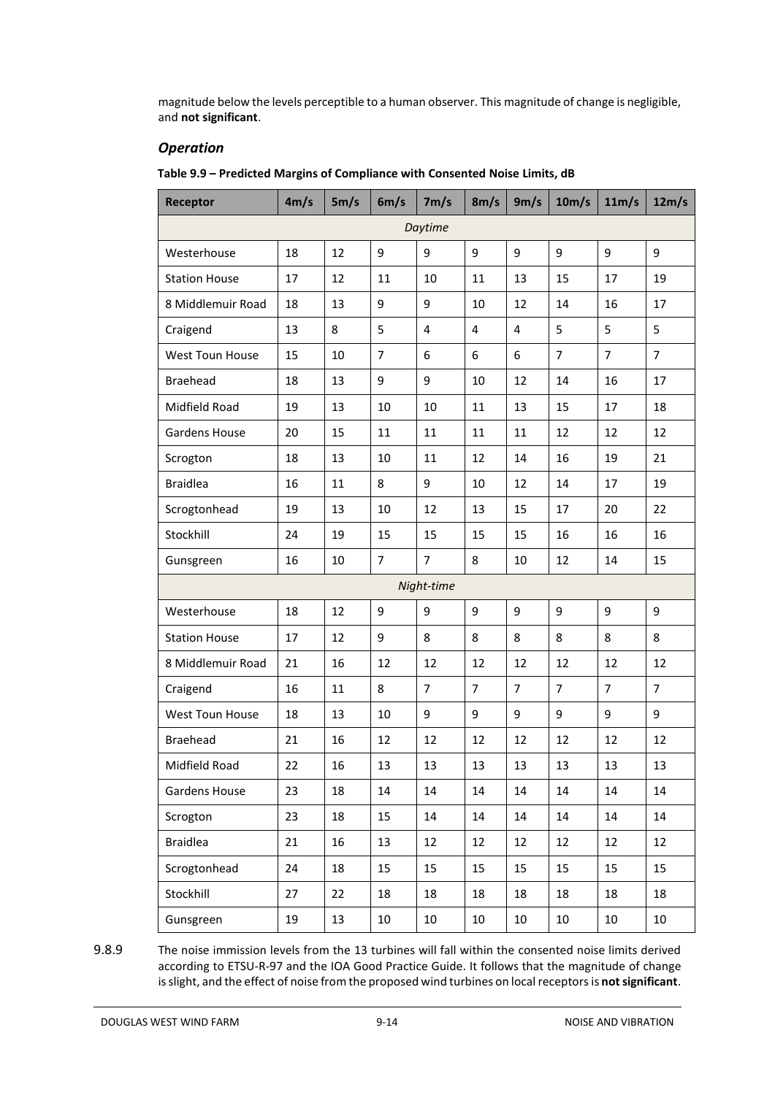magnitude below the levels perceptible to a human observer. This magnitude of change is negligible, and **not significant**.

## *Operation*

| Table 9.9 - Predicted Margins of Compliance with Consented Noise Limits, dB |  |  |  |  |  |
|-----------------------------------------------------------------------------|--|--|--|--|--|
|-----------------------------------------------------------------------------|--|--|--|--|--|

| Receptor             | 4m/s | 5m/s | 6m/s           | 7m/s           | 8m/s           | 9m/s           | 10 <sub>m</sub> /s | 11m/s          | 12m/s          |  |
|----------------------|------|------|----------------|----------------|----------------|----------------|--------------------|----------------|----------------|--|
| <b>Daytime</b>       |      |      |                |                |                |                |                    |                |                |  |
| Westerhouse          | 18   | 12   | 9              | 9              | 9              | 9              | 9                  | 9              | 9              |  |
| <b>Station House</b> | 17   | 12   | 11             | 10             | 11             | 13             | 15                 | 17             | 19             |  |
| 8 Middlemuir Road    | 18   | 13   | 9              | 9              | 10             | 12             | 14                 | 16             | 17             |  |
| Craigend             | 13   | 8    | 5              | 4              | 4              | 4              | 5                  | 5              | 5              |  |
| West Toun House      | 15   | 10   | $\overline{7}$ | 6              | 6              | 6              | $\overline{7}$     | $\overline{7}$ | $\overline{7}$ |  |
| <b>Braehead</b>      | 18   | 13   | 9              | 9              | 10             | 12             | 14                 | 16             | 17             |  |
| Midfield Road        | 19   | 13   | 10             | 10             | 11             | 13             | 15                 | 17             | 18             |  |
| Gardens House        | 20   | 15   | 11             | 11             | 11             | 11             | 12                 | 12             | 12             |  |
| Scrogton             | 18   | 13   | 10             | 11             | 12             | 14             | 16                 | 19             | 21             |  |
| <b>Braidlea</b>      | 16   | 11   | 8              | 9              | 10             | 12             | 14                 | 17             | 19             |  |
| Scrogtonhead         | 19   | 13   | 10             | 12             | 13             | 15             | 17                 | 20             | 22             |  |
| Stockhill            | 24   | 19   | 15             | 15             | 15             | 15             | 16                 | 16             | 16             |  |
| Gunsgreen            | 16   | 10   | 7              | 7              | 8              | 10             | 12                 | 14             | 15             |  |
|                      |      |      |                | Night-time     |                |                |                    |                |                |  |
| Westerhouse          | 18   | 12   | 9              | 9              | 9              | 9              | 9                  | 9              | 9              |  |
| <b>Station House</b> | 17   | 12   | 9              | 8              | 8              | 8              | 8                  | 8              | 8              |  |
| 8 Middlemuir Road    | 21   | 16   | 12             | 12             | 12             | 12             | 12                 | 12             | 12             |  |
| Craigend             | 16   | 11   | 8              | $\overline{7}$ | $\overline{7}$ | $\overline{7}$ | $\overline{7}$     | $\overline{7}$ | 7              |  |
| West Toun House      | 18   | 13   | 10             | 9              | 9              | 9              | 9                  | 9              | 9              |  |
| Braehead             | 21   | 16   | 12             | 12             | 12             | 12             | 12                 | 12             | 12             |  |
| Midfield Road        | 22   | 16   | 13             | 13             | 13             | 13             | 13                 | 13             | 13             |  |
| Gardens House        | 23   | 18   | 14             | 14             | 14             | 14             | 14                 | 14             | 14             |  |
| Scrogton             | 23   | 18   | 15             | 14             | 14             | 14             | 14                 | 14             | 14             |  |
| <b>Braidlea</b>      | 21   | 16   | 13             | 12             | 12             | 12             | 12                 | 12             | 12             |  |
| Scrogtonhead         | 24   | 18   | 15             | 15             | 15             | 15             | 15                 | 15             | 15             |  |
| Stockhill            | 27   | 22   | 18             | 18             | 18             | 18             | 18                 | 18             | 18             |  |
| Gunsgreen            | 19   | 13   | $10\,$         | $10\,$         | $10\,$         | 10             | $10\,$             | 10             | $10\,$         |  |

9.8.9 The noise immission levels from the 13 turbines will fall within the consented noise limits derived according to ETSU-R-97 and the IOA Good Practice Guide. It follows that the magnitude of change is slight, and the effect of noise from the proposed wind turbines on local receptors is **not significant**.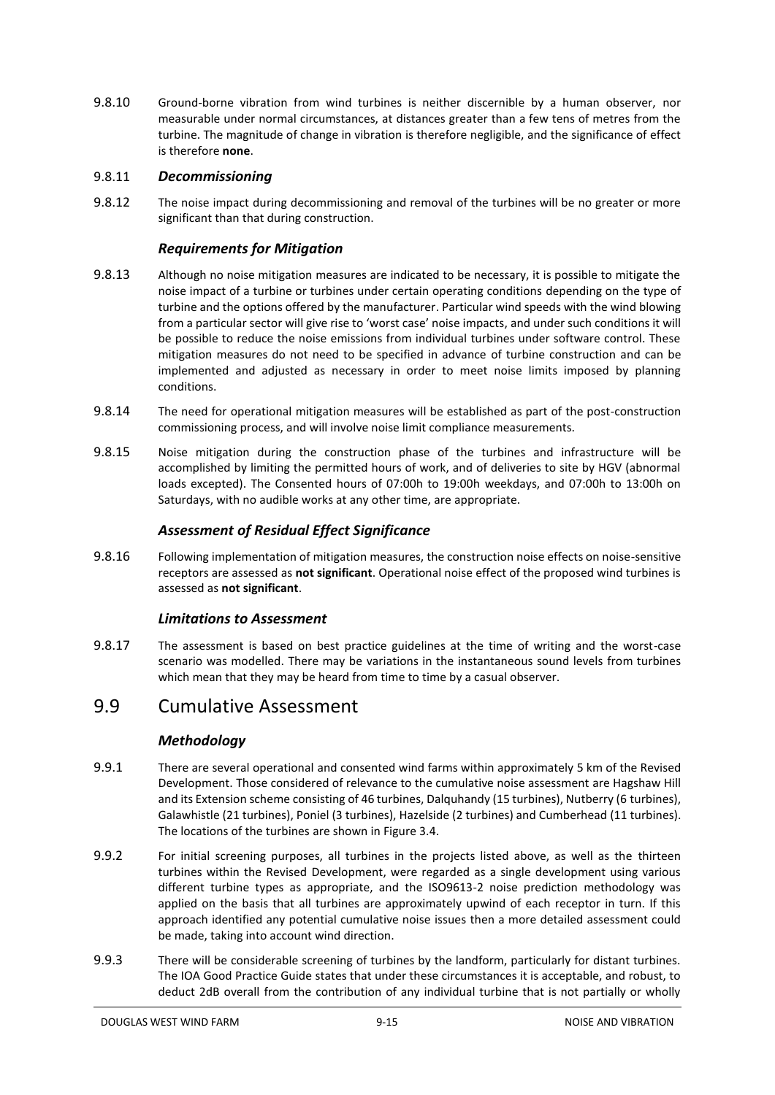9.8.10 Ground-borne vibration from wind turbines is neither discernible by a human observer, nor measurable under normal circumstances, at distances greater than a few tens of metres from the turbine. The magnitude of change in vibration is therefore negligible, and the significance of effect is therefore **none**.

#### 9.8.11 *Decommissioning*

9.8.12 The noise impact during decommissioning and removal of the turbines will be no greater or more significant than that during construction.

#### *Requirements for Mitigation*

- 9.8.13 Although no noise mitigation measures are indicated to be necessary, it is possible to mitigate the noise impact of a turbine or turbines under certain operating conditions depending on the type of turbine and the options offered by the manufacturer. Particular wind speeds with the wind blowing from a particular sector will give rise to 'worst case' noise impacts, and under such conditions it will be possible to reduce the noise emissions from individual turbines under software control. These mitigation measures do not need to be specified in advance of turbine construction and can be implemented and adjusted as necessary in order to meet noise limits imposed by planning conditions.
- 9.8.14 The need for operational mitigation measures will be established as part of the post-construction commissioning process, and will involve noise limit compliance measurements.
- 9.8.15 Noise mitigation during the construction phase of the turbines and infrastructure will be accomplished by limiting the permitted hours of work, and of deliveries to site by HGV (abnormal loads excepted). The Consented hours of 07:00h to 19:00h weekdays, and 07:00h to 13:00h on Saturdays, with no audible works at any other time, are appropriate.

#### *Assessment of Residual Effect Significance*

9.8.16 Following implementation of mitigation measures, the construction noise effects on noise-sensitive receptors are assessed as **not significant**. Operational noise effect of the proposed wind turbines is assessed as **not significant**.

#### *Limitations to Assessment*

9.8.17 The assessment is based on best practice guidelines at the time of writing and the worst-case scenario was modelled. There may be variations in the instantaneous sound levels from turbines which mean that they may be heard from time to time by a casual observer.

## <span id="page-16-0"></span>9.9 Cumulative Assessment

#### *Methodology*

- 9.9.1 There are several operational and consented wind farms within approximately 5 km of the Revised Development. Those considered of relevance to the cumulative noise assessment are Hagshaw Hill and its Extension scheme consisting of 46 turbines, Dalquhandy (15 turbines), Nutberry (6 turbines), Galawhistle (21 turbines), Poniel (3 turbines), Hazelside (2 turbines) and Cumberhead (11 turbines). The locations of the turbines are shown in Figure 3.4.
- 9.9.2 For initial screening purposes, all turbines in the projects listed above, as well as the thirteen turbines within the Revised Development, were regarded as a single development using various different turbine types as appropriate, and the ISO9613-2 noise prediction methodology was applied on the basis that all turbines are approximately upwind of each receptor in turn. If this approach identified any potential cumulative noise issues then a more detailed assessment could be made, taking into account wind direction.
- 9.9.3 There will be considerable screening of turbines by the landform, particularly for distant turbines. The IOA Good Practice Guide states that under these circumstances it is acceptable, and robust, to deduct 2dB overall from the contribution of any individual turbine that is not partially or wholly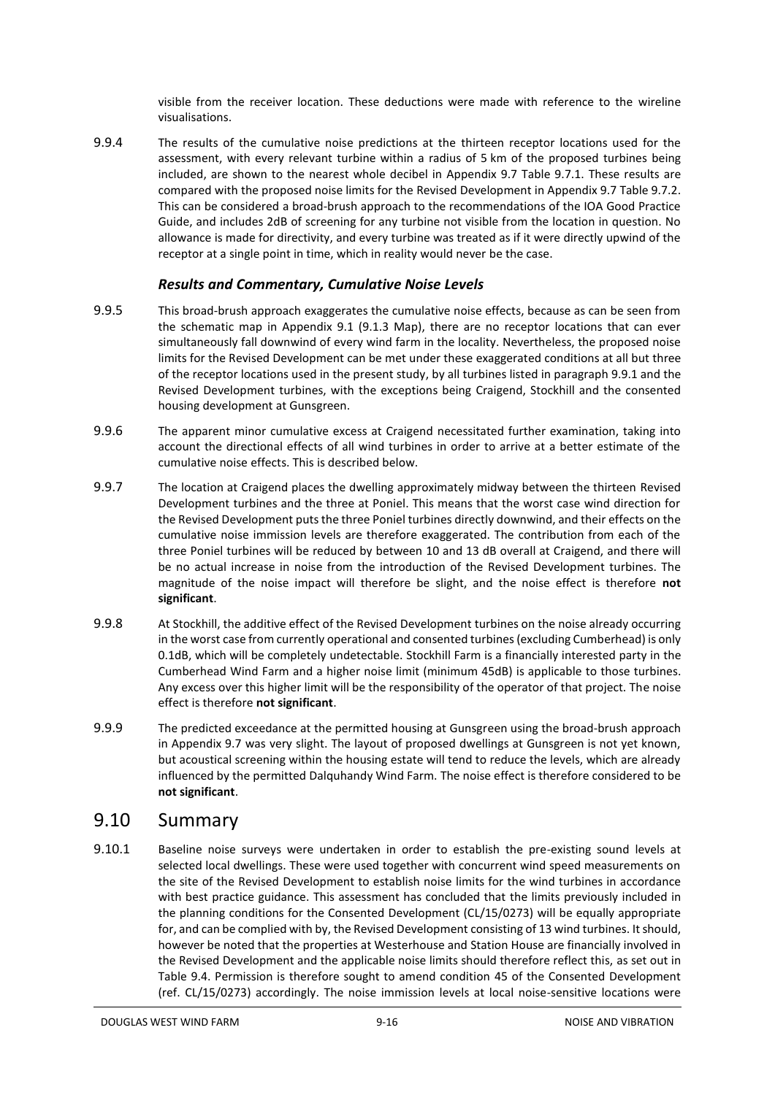visible from the receiver location. These deductions were made with reference to the wireline visualisations.

9.9.4 The results of the cumulative noise predictions at the thirteen receptor locations used for the assessment, with every relevant turbine within a radius of 5 km of the proposed turbines being included, are shown to the nearest whole decibel in Appendix 9.7 Table 9.7.1. These results are compared with the proposed noise limits for the Revised Development in Appendix 9.7 Table 9.7.2. This can be considered a broad-brush approach to the recommendations of the IOA Good Practice Guide, and includes 2dB of screening for any turbine not visible from the location in question. No allowance is made for directivity, and every turbine was treated as if it were directly upwind of the receptor at a single point in time, which in reality would never be the case.

#### *Results and Commentary, Cumulative Noise Levels*

- 9.9.5 This broad-brush approach exaggerates the cumulative noise effects, because as can be seen from the schematic map in Appendix 9.1 (9.1.3 Map), there are no receptor locations that can ever simultaneously fall downwind of every wind farm in the locality. Nevertheless, the proposed noise limits for the Revised Development can be met under these exaggerated conditions at all but three of the receptor locations used in the present study, by all turbines listed in paragraph 9.9.1 and the Revised Development turbines, with the exceptions being Craigend, Stockhill and the consented housing development at Gunsgreen.
- 9.9.6 The apparent minor cumulative excess at Craigend necessitated further examination, taking into account the directional effects of all wind turbines in order to arrive at a better estimate of the cumulative noise effects. This is described below.
- 9.9.7 The location at Craigend places the dwelling approximately midway between the thirteen Revised Development turbines and the three at Poniel. This means that the worst case wind direction for the Revised Development puts the three Poniel turbines directly downwind, and their effects on the cumulative noise immission levels are therefore exaggerated. The contribution from each of the three Poniel turbines will be reduced by between 10 and 13 dB overall at Craigend, and there will be no actual increase in noise from the introduction of the Revised Development turbines. The magnitude of the noise impact will therefore be slight, and the noise effect is therefore **not significant**.
- 9.9.8 At Stockhill, the additive effect of the Revised Development turbines on the noise already occurring in the worst case from currently operational and consented turbines(excluding Cumberhead) is only 0.1dB, which will be completely undetectable. Stockhill Farm is a financially interested party in the Cumberhead Wind Farm and a higher noise limit (minimum 45dB) is applicable to those turbines. Any excess over this higher limit will be the responsibility of the operator of that project. The noise effect is therefore **not significant**.
- 9.9.9 The predicted exceedance at the permitted housing at Gunsgreen using the broad-brush approach in Appendix 9.7 was very slight. The layout of proposed dwellings at Gunsgreen is not yet known, but acoustical screening within the housing estate will tend to reduce the levels, which are already influenced by the permitted Dalquhandy Wind Farm. The noise effect is therefore considered to be **not significant**.

# <span id="page-17-0"></span>9.10 Summary

9.10.1 Baseline noise surveys were undertaken in order to establish the pre-existing sound levels at selected local dwellings. These were used together with concurrent wind speed measurements on the site of the Revised Development to establish noise limits for the wind turbines in accordance with best practice guidance. This assessment has concluded that the limits previously included in the planning conditions for the Consented Development (CL/15/0273) will be equally appropriate for, and can be complied with by, the Revised Development consisting of 13 wind turbines. It should, however be noted that the properties at Westerhouse and Station House are financially involved in the Revised Development and the applicable noise limits should therefore reflect this, as set out in Table 9.4. Permission is therefore sought to amend condition 45 of the Consented Development (ref. CL/15/0273) accordingly. The noise immission levels at local noise-sensitive locations were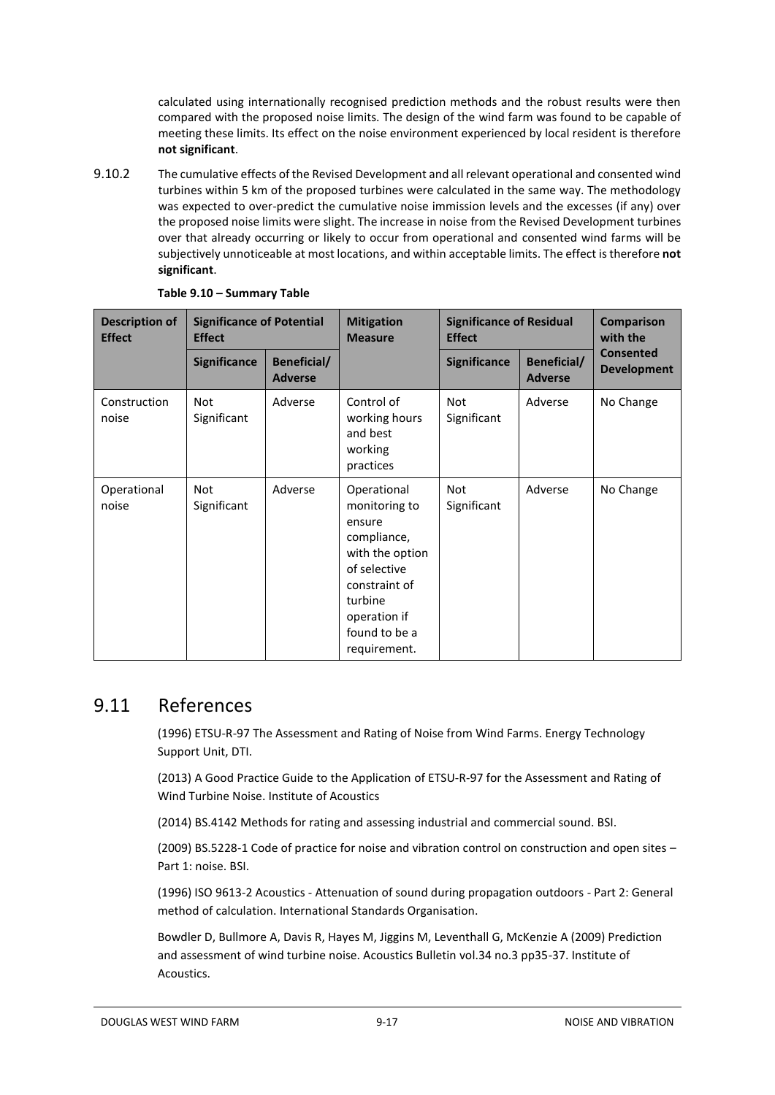calculated using internationally recognised prediction methods and the robust results were then compared with the proposed noise limits. The design of the wind farm was found to be capable of meeting these limits. Its effect on the noise environment experienced by local resident is therefore **not significant**.

9.10.2 The cumulative effects of the Revised Development and all relevant operational and consented wind turbines within 5 km of the proposed turbines were calculated in the same way. The methodology was expected to over-predict the cumulative noise immission levels and the excesses (if any) over the proposed noise limits were slight. The increase in noise from the Revised Development turbines over that already occurring or likely to occur from operational and consented wind farms will be subjectively unnoticeable at most locations, and within acceptable limits. The effect is therefore **not significant**.

| <b>Description of</b><br><b>Effect</b> | <b>Significance of Potential</b><br><b>Effect</b> |                               | <b>Mitigation</b><br><b>Measure</b>                                                                                                                                   | <b>Significance of Residual</b><br><b>Effect</b> |                                      | <b>Comparison</b><br>with the          |
|----------------------------------------|---------------------------------------------------|-------------------------------|-----------------------------------------------------------------------------------------------------------------------------------------------------------------------|--------------------------------------------------|--------------------------------------|----------------------------------------|
|                                        | <b>Significance</b>                               | Beneficial/<br><b>Adverse</b> |                                                                                                                                                                       | <b>Significance</b>                              | <b>Beneficial/</b><br><b>Adverse</b> | <b>Consented</b><br><b>Development</b> |
| Construction<br>noise                  | <b>Not</b><br>Significant                         | Adverse                       | Control of<br>working hours<br>and best<br>working<br>practices                                                                                                       | <b>Not</b><br>Significant                        | Adverse                              | No Change                              |
| Operational<br>noise                   | <b>Not</b><br>Significant                         | Adverse                       | Operational<br>monitoring to<br>ensure<br>compliance,<br>with the option<br>of selective<br>constraint of<br>turbine<br>operation if<br>found to be a<br>requirement. | <b>Not</b><br>Significant                        | Adverse                              | No Change                              |

#### **Table 9.10 – Summary Table**

# <span id="page-18-0"></span>9.11 References

(1996) ETSU-R-97 The Assessment and Rating of Noise from Wind Farms. Energy Technology Support Unit, DTI.

(2013) A Good Practice Guide to the Application of ETSU-R-97 for the Assessment and Rating of Wind Turbine Noise. Institute of Acoustics

(2014) BS.4142 Methods for rating and assessing industrial and commercial sound. BSI.

(2009) BS.5228-1 Code of practice for noise and vibration control on construction and open sites – Part 1: noise. BSI.

(1996) ISO 9613-2 Acoustics - Attenuation of sound during propagation outdoors - Part 2: General method of calculation. International Standards Organisation.

Bowdler D, Bullmore A, Davis R, Hayes M, Jiggins M, Leventhall G, McKenzie A (2009) Prediction and assessment of wind turbine noise. Acoustics Bulletin vol.34 no.3 pp35-37. Institute of Acoustics.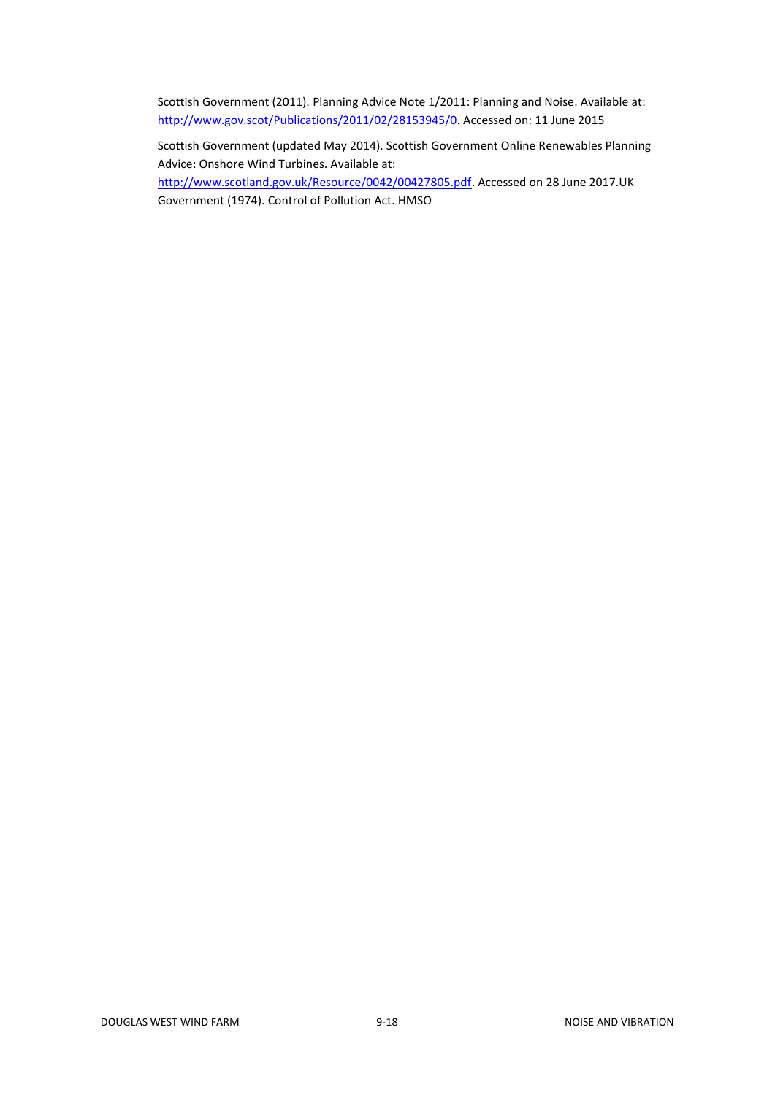Scottish Government (2011). Planning Advice Note 1/2011: Planning and Noise. Available at: [http://www.gov.scot/Publications/2011/02/28153945/0.](http://www.gov.scot/Publications/2011/02/28153945/0) Accessed on: 11 June 2015

Scottish Government (updated May 2014). Scottish Government Online Renewables Planning Advice: Onshore Wind Turbines. Available at:

[http://www.scotland.gov.uk/Resource/0042/00427805.pdf.](http://www.scotland.gov.uk/Resource/0042/00427805.pdf) Accessed on 28 June 2017.UK Government (1974). Control of Pollution Act. HMSO